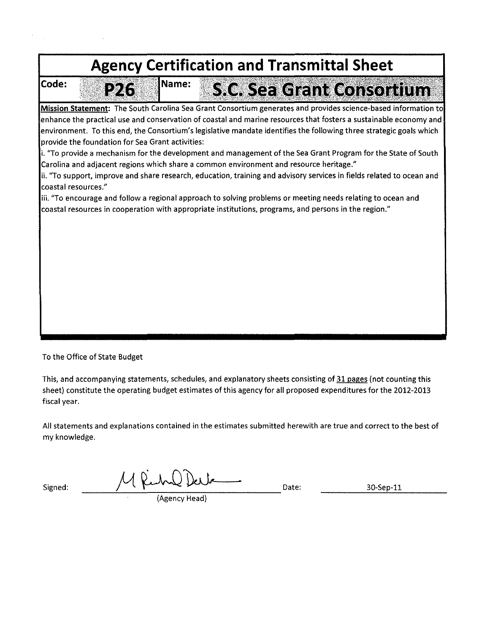

To the Office of State Budget

This, and accompanying statements, schedules, and explanatory sheets consisting of 31 pages (not counting this sheet) constitute the operating budget estimates of this agency for all proposed expenditures for the 2012-2013 fiscal year.

All statements and explanations contained in the estimates submitted herewith are true and correct to the best of my knowledge.

 $Signed:$   $M\ell\nu\Omega\Omega\omega$ ----~~----~------~------------- (Agency Head)

30-Sep-11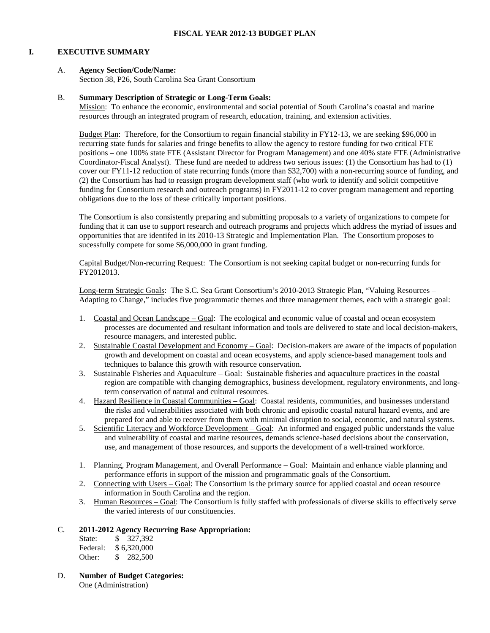#### **I. EXECUTIVE SUMMARY**

#### A. **Agency Section/Code/Name:**

Section 38, P26, South Carolina Sea Grant Consortium

#### B. **Summary Description of Strategic or Long-Term Goals:**

Mission: To enhance the economic, environmental and social potential of South Carolina's coastal and marine resources through an integrated program of research, education, training, and extension activities.

Budget Plan: Therefore, for the Consortium to regain financial stability in FY12-13, we are seeking \$96,000 in recurring state funds for salaries and fringe benefits to allow the agency to restore funding for two critical FTE positions – one 100% state FTE (Assistant Director for Program Management) and one 40% state FTE (Administrative Coordinator-Fiscal Analyst). These fund are needed to address two serious issues: (1) the Consortium has had to (1) cover our FY11-12 reduction of state recurring funds (more than \$32,700) with a non-recurring source of funding, and (2) the Consortium has had to reassign program development staff (who work to identify and solicit competitive funding for Consortium research and outreach programs) in FY2011-12 to cover program management and reporting obligations due to the loss of these critically important positions.

The Consortium is also consistently preparing and submitting proposals to a variety of organizations to compete for funding that it can use to support research and outreach programs and projects which address the myriad of issues and opportunities that are identifed in its 2010-13 Strategic and Implementation Plan. The Consortium proposes to sucessfully compete for some \$6,000,000 in grant funding.

Capital Budget/Non-recurring Request: The Consortium is not seeking capital budget or non-recurring funds for FY2012013.

Long-term Strategic Goals: The S.C. Sea Grant Consortium's 2010-2013 Strategic Plan, "Valuing Resources – Adapting to Change," includes five programmatic themes and three management themes, each with a strategic goal:

- 1. Coastal and Ocean Landscape Goal: The ecological and economic value of coastal and ocean ecosystem processes are documented and resultant information and tools are delivered to state and local decision-makers, resource managers, and interested public.
- 2. Sustainable Coastal Development and Economy Goal: Decision-makers are aware of the impacts of population growth and development on coastal and ocean ecosystems, and apply science-based management tools and techniques to balance this growth with resource conservation.
- 3. Sustainable Fisheries and Aquaculture Goal: Sustainable fisheries and aquaculture practices in the coastal region are compatible with changing demographics, business development, regulatory environments, and longterm conservation of natural and cultural resources.
- 4. Hazard Resilience in Coastal Communities Goal: Coastal residents, communities, and businesses understand the risks and vulnerabilities associated with both chronic and episodic coastal natural hazard events, and are prepared for and able to recover from them with minimal disruption to social, economic, and natural systems.
- 5. Scientific Literacy and Workforce Development Goal: An informed and engaged public understands the value and vulnerability of coastal and marine resources, demands science-based decisions about the conservation, use, and management of those resources, and supports the development of a well-trained workforce.
- 1. Planning, Program Management, and Overall Performance Goal: Maintain and enhance viable planning and performance efforts in support of the mission and programmatic goals of the Consortium.
- 2. Connecting with Users Goal: The Consortium is the primary source for applied coastal and ocean resource information in South Carolina and the region.
- 3. Human Resources Goal: The Consortium is fully staffed with professionals of diverse skills to effectively serve the varied interests of our constituencies.

#### C. **2011-2012 Agency Recurring Base Appropriation:**

| State:   | \$ 327,392  |
|----------|-------------|
| Federal: | \$6.320,000 |
| Other:   | \$ 282,500  |

D. **Number of Budget Categories:** One (Administration)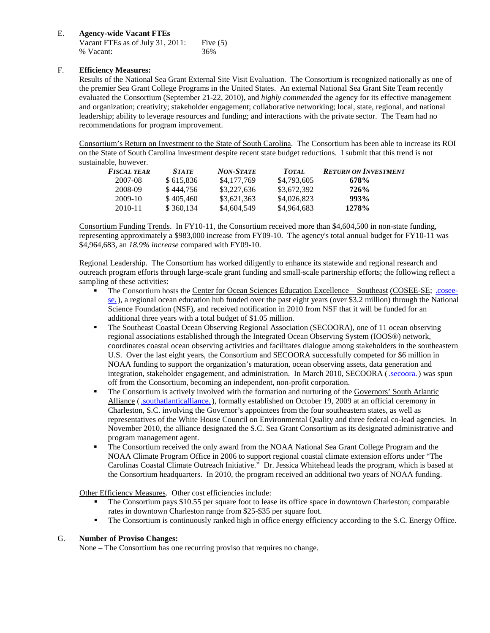### E. **Agency-wide Vacant FTEs**

| Vacant FTEs as of July 31, 2011: | Five $(5)$ |
|----------------------------------|------------|
| % Vacant:                        | 36%        |

## F. **Efficiency Measures:**

Results of the National Sea Grant External Site Visit Evaluation. The Consortium is recognized nationally as one of the premier Sea Grant College Programs in the United States. An external National Sea Grant Site Team recently evaluated the Consortium (September 21-22, 2010), and *highly commended* the agency for its effective management and organization; creativity; stakeholder engagement; collaborative networking; local, state, regional, and national leadership; ability to leverage resources and funding; and interactions with the private sector. The Team had no recommendations for program improvement.

Consortium's Return on Investment to the State of South Carolina. The Consortium has been able to increase its ROI on the State of South Carolina investment despite recent state budget reductions. I submit that this trend is not sustainable, however.

| <b>FISCAL YEAR</b> | <b>STATE</b> | <b>NON-STATE</b> | <b>TOTAL</b> | <b>RETURN ON INVESTMENT</b> |
|--------------------|--------------|------------------|--------------|-----------------------------|
| 2007-08            | \$615.836    | \$4,177,769      | \$4,793,605  | 678%                        |
| 2008-09            | \$444.756    | \$3,227,636      | \$3,672,392  | 726%                        |
| 2009-10            | \$405,460    | \$3,621,363      | \$4,026,823  | 993%                        |
| 2010-11            | \$360,134    | \$4,604,549      | \$4,964,683  | 1278%                       |

Consortium Funding Trends.In FY10-11, the Consortium received more than \$4,604,500 in non-state funding, representing approximately a \$983,000 increase from FY09-10. The agency's total annual budget for FY10-11 was \$4,964,683, an *18.9% increase* compared with FY09-10.

Regional Leadership.The Consortium has worked diligently to enhance its statewide and regional research and outreach program efforts through large-scale grant funding and small-scale partnership efforts; the following reflect a sampling of these activities:

- The Consortium hosts the Center for Ocean Sciences Education Excellence Southeast (COSEE-SE; [.cosee](http://www.cosee-se.org/)[se.\)](http://www.cosee-se.org/), a regional ocean education hub funded over the past eight years (over \$3.2 million) through the National Science Foundation (NSF), and received notification in 2010 from NSF that it will be funded for an additional three years with a total budget of \$1.05 million.
- The Southeast Coastal Ocean Observing Regional Association (SECOORA), one of 11 ocean observing regional associations established through the Integrated Ocean Observing System (IOOS®) network, coordinates coastal ocean observing activities and facilitates dialogue among stakeholders in the southeastern U.S. Over the last eight years, the Consortium and SECOORA successfully competed for \$6 million in NOAA funding to support the organization's maturation, ocean observing assets, data generation and integration, stakeholder engagement, and administration. In March 2010, SECOORA [\(.secoora.\)](http://www.secoora.org/) was spun off from the Consortium, becoming an independent, non-profit corporation.
- The Consortium is actively involved with the formation and nurturing of the Governors' South Atlantic Alliance [\(.southatlanticalliance.\)](http://www.southatlanticalliance.org/), formally established on October 19, 2009 at an official ceremony in Charleston, S.C. involving the Governor's appointees from the four southeastern states, as well as representatives of the White House Council on Environmental Quality and three federal co-lead agencies. In November 2010, the alliance designated the S.C. Sea Grant Consortium as its designated administrative and program management agent.
- The Consortium received the only award from the NOAA National Sea Grant College Program and the NOAA Climate Program Office in 2006 to support regional coastal climate extension efforts under "The Carolinas Coastal Climate Outreach Initiative." Dr. Jessica Whitehead leads the program, which is based at the Consortium headquarters. In 2010, the program received an additional two years of NOAA funding.

Other Efficiency Measures. Other cost efficiencies include:

- The Consortium pays \$10.55 per square foot to lease its office space in downtown Charleston; comparable rates in downtown Charleston range from \$25-\$35 per square foot.
- The Consortium is continuously ranked high in office energy efficiency according to the S.C. Energy Office.

### G. **Number of Proviso Changes:**

None – The Consortium has one recurring proviso that requires no change.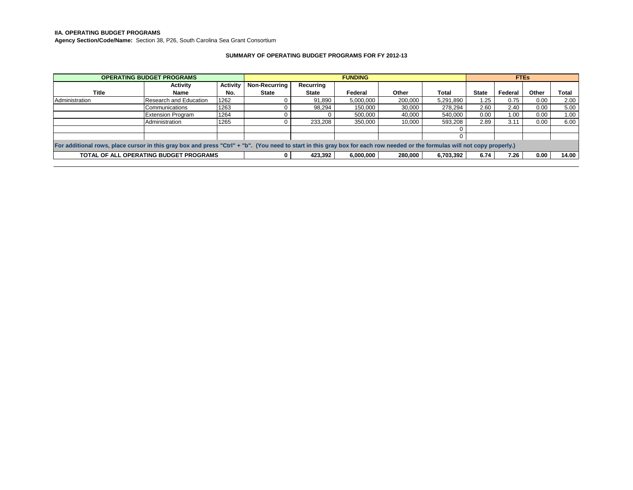**IIA. OPERATING BUDGET PROGRAMS**

**Agency Section/Code/Name:** Section 38, P26, South Carolina Sea Grant Consortium

#### **SUMMARY OF OPERATING BUDGET PROGRAMS FOR FY 2012-13**

|                                                                                                                                                                             | <b>OPERATING BUDGET PROGRAMS</b>              |                 |               | <b>FUNDING</b> |           |         |           | <b>FTEs</b>  |         |       |       |
|-----------------------------------------------------------------------------------------------------------------------------------------------------------------------------|-----------------------------------------------|-----------------|---------------|----------------|-----------|---------|-----------|--------------|---------|-------|-------|
|                                                                                                                                                                             | <b>Activity</b>                               | <b>Activity</b> | Non-Recurring | Recurring      |           |         |           |              |         |       |       |
| Title                                                                                                                                                                       | Name                                          | No.             | <b>State</b>  | <b>State</b>   | Federal   | Other   | Total     | <b>State</b> | Federal | Other | Total |
| Administration                                                                                                                                                              | Research and Education                        | 1262            |               | 91,890         | 5,000,000 | 200,000 | 5,291,890 | 1.25         | 0.75    | 0.00  | 2.00  |
|                                                                                                                                                                             | Communications                                | 1263            |               | 98,294         | 150.000   | 30,000  | 278.294   | 2.60         | 2.40    | 0.00  | 5.00  |
|                                                                                                                                                                             | <b>Extension Program</b>                      | 1264            |               |                | 500,000   | 40,000  | 540.000   | 0.00         | 1.00    | 0.00  | 1.00  |
|                                                                                                                                                                             | Administration                                | 1265            |               | 233,208        | 350,000   | 10,000  | 593,208   | 2.89         | 3.11    | 0.00  | 6.00  |
|                                                                                                                                                                             |                                               |                 |               |                |           |         |           |              |         |       |       |
|                                                                                                                                                                             |                                               |                 |               |                |           |         |           |              |         |       |       |
| For additional rows, place cursor in this gray box and press "Ctrl" + "b". (You need to start in this gray box for each row needed or the formulas will not copy properly.) |                                               |                 |               |                |           |         |           |              |         |       |       |
|                                                                                                                                                                             | <b>TOTAL OF ALL OPERATING BUDGET PROGRAMS</b> |                 |               | 423,392        | 6,000,000 | 280,000 | 6,703,392 | 6.74         | 7.26    | 0.00  | 14.00 |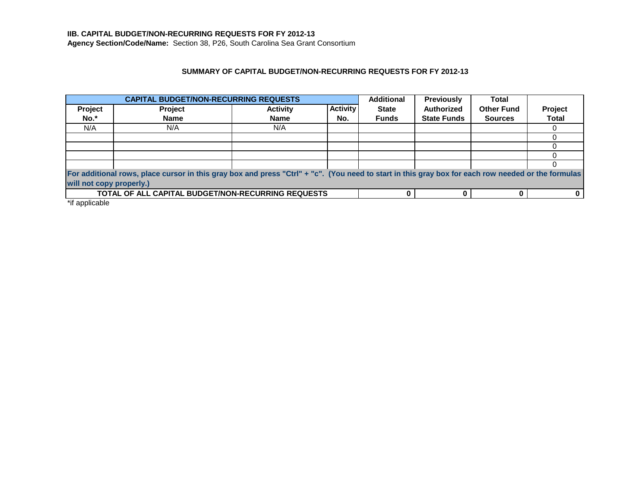# **IIB. CAPITAL BUDGET/NON-RECURRING REQUESTS FOR FY 2012-13**

**Agency Section/Code/Name:** Section 38, P26, South Carolina Sea Grant Consortium

## **SUMMARY OF CAPITAL BUDGET/NON-RECURRING REQUESTS FOR FY 2012-13**

| <b>CAPITAL BUDGET/NON-RECURRING REQUESTS</b> |                                                                                                                                                    |                 | <b>Additional</b> | <b>Previously</b> | <b>Total</b>       |                   |              |  |  |
|----------------------------------------------|----------------------------------------------------------------------------------------------------------------------------------------------------|-----------------|-------------------|-------------------|--------------------|-------------------|--------------|--|--|
| Project                                      | <b>Project</b>                                                                                                                                     | <b>Activity</b> | <b>Activity</b>   | <b>State</b>      | <b>Authorized</b>  | <b>Other Fund</b> | Project      |  |  |
| No.*                                         | <b>Name</b>                                                                                                                                        | <b>Name</b>     | No.               | <b>Funds</b>      | <b>State Funds</b> | <b>Sources</b>    | <b>Total</b> |  |  |
| N/A                                          | N/A                                                                                                                                                | N/A             |                   |                   |                    |                   |              |  |  |
|                                              |                                                                                                                                                    |                 |                   |                   |                    |                   |              |  |  |
|                                              |                                                                                                                                                    |                 |                   |                   |                    |                   |              |  |  |
|                                              |                                                                                                                                                    |                 |                   |                   |                    |                   |              |  |  |
|                                              |                                                                                                                                                    |                 |                   |                   |                    |                   |              |  |  |
|                                              | For additional rows, place cursor in this gray box and press "Ctrl" + "c". (You need to start in this gray box for each row needed or the formulas |                 |                   |                   |                    |                   |              |  |  |
| will not copy properly.)                     |                                                                                                                                                    |                 |                   |                   |                    |                   |              |  |  |
|                                              | <b>TOTAL OF ALL CAPITAL BUDGET/NON-RECURRING REQUESTS</b>                                                                                          |                 |                   |                   |                    |                   |              |  |  |

\*if applicable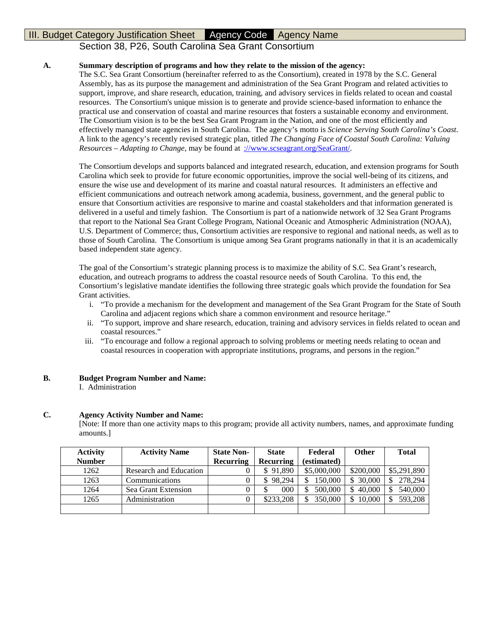# Section 38, P26, South Carolina Sea Grant Consortium

### **A. Summary description of programs and how they relate to the mission of the agency:**

The S.C. Sea Grant Consortium (hereinafter referred to as the Consortium), created in 1978 by the S.C. General Assembly, has as its purpose the management and administration of the Sea Grant Program and related activities to support, improve, and share research, education, training, and advisory services in fields related to ocean and coastal resources. The Consortium's unique mission is to generate and provide science-based information to enhance the practical use and conservation of coastal and marine resources that fosters a sustainable economy and environment. The Consortium vision is to be the best Sea Grant Program in the Nation, and one of the most efficiently and effectively managed state agencies in South Carolina. The agency's motto is *Science Serving South Carolina's Coast*. A link to the agency's recently revised strategic plan, titled *The Changing Face of Coastal South Carolina: Valuing Resources – Adapting to Change*, may be found at [://www.scseagrant.org/SeaGrant/.](http://www.scseagrant.org/SeaGrant/)

The Consortium develops and supports balanced and integrated research, education, and extension programs for South Carolina which seek to provide for future economic opportunities, improve the social well-being of its citizens, and ensure the wise use and development of its marine and coastal natural resources. It administers an effective and efficient communications and outreach network among academia, business, government, and the general public to ensure that Consortium activities are responsive to marine and coastal stakeholders and that information generated is delivered in a useful and timely fashion. The Consortium is part of a nationwide network of 32 Sea Grant Programs that report to the National Sea Grant College Program, National Oceanic and Atmospheric Administration (NOAA), U.S. Department of Commerce; thus, Consortium activities are responsive to regional and national needs, as well as to those of South Carolina. The Consortium is unique among Sea Grant programs nationally in that it is an academically based independent state agency.

The goal of the Consortium's strategic planning process is to maximize the ability of S.C. Sea Grant's research, education, and outreach programs to address the coastal resource needs of South Carolina. To this end, the Consortium's legislative mandate identifies the following three strategic goals which provide the foundation for Sea Grant activities.

- i. "To provide a mechanism for the development and management of the Sea Grant Program for the State of South Carolina and adjacent regions which share a common environment and resource heritage."
- ii. "To support, improve and share research, education, training and advisory services in fields related to ocean and coastal resources."
- iii. "To encourage and follow a regional approach to solving problems or meeting needs relating to ocean and coastal resources in cooperation with appropriate institutions, programs, and persons in the region."

### **B. Budget Program Number and Name:**

I. Administration

### **C. Agency Activity Number and Name:**

[Note: If more than one activity maps to this program; provide all activity numbers, names, and approximate funding amounts.]

| <b>Activity</b> | <b>Activity Name</b>   | <b>State Non-</b> | <b>State</b>     | Federal     | Other         | <b>Total</b>  |
|-----------------|------------------------|-------------------|------------------|-------------|---------------|---------------|
| <b>Number</b>   |                        | Recurring         | <b>Recurring</b> | (estimated) |               |               |
| 1262            | Research and Education |                   | \$91,890         | \$5,000,000 | \$200,000     | \$5,291,890   |
| 1263            | Communications         |                   | 98,294<br>\$.    | 150,000     | 30,000<br>\$  | 278,294<br>\$ |
| 1264            | Sea Grant Extension    |                   | 000              | 500,000     | 40,000<br>\$. | 540,000       |
| 1265            | Administration         |                   | \$233,208        | 350,000     | 10.000<br>\$  | 593,208       |
|                 |                        |                   |                  |             |               |               |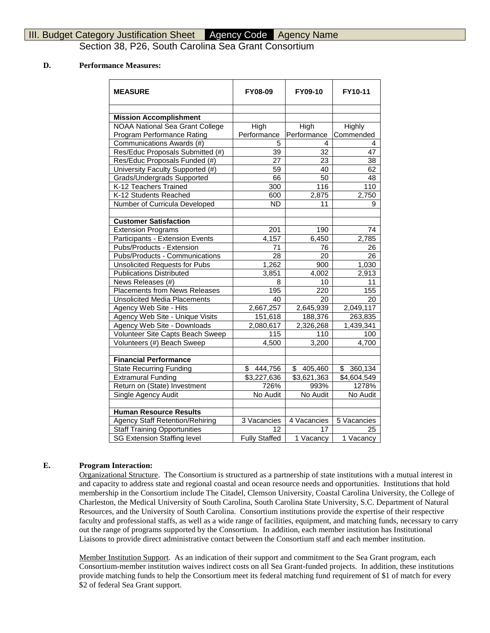Section 38, P26, South Carolina Sea Grant Consortium

### **D. Performance Measures:**

| <b>MEASURE</b>                         | <b>FY08-09</b>       | FY09-10       | FY10-11       |
|----------------------------------------|----------------------|---------------|---------------|
| <b>Mission Accomplishment</b>          |                      |               |               |
| <b>NOAA National Sea Grant College</b> | High                 | High          | Highly        |
| Program Performance Rating             | Performance          | Performance   | Commended     |
| Communications Awards (#)              | 5                    | 4             | 4             |
| Res/Educ Proposals Submitted (#)       | 39                   | 32            | 47            |
| Res/Educ Proposals Funded (#)          | 27                   | 23            | 38            |
| University Faculty Supported (#)       | 59                   | 40            | 62            |
| Grads/Undergrads Supported             | 66                   | 50            | 48            |
| K-12 Teachers Trained                  | 300                  | 116           | 110           |
| K-12 Students Reached                  | 600                  | 2,875         | 2,750         |
| Number of Curricula Developed          | $\overline{ND}$      | 11            | 9             |
|                                        |                      |               |               |
| <b>Customer Satisfaction</b>           |                      |               |               |
| <b>Extension Programs</b>              | 201                  | 190           | 74            |
| Participants - Extension Events        | 4,157                | 6,450         | 2,785         |
| Pubs/Products - Extension              | 71                   | 76            | 26            |
| Pubs/Products - Communications         | $\overline{28}$      | 20            | 26            |
| <b>Unsolicited Requests for Pubs</b>   | 1,262                | 900           | 1,030         |
| <b>Publications Distributed</b>        | 3,851                | 4,002         | 2,913         |
| News Releases (#)                      | 8                    | 10            | 11            |
| <b>Placements from News Releases</b>   | 195                  | 220           | 155           |
| <b>Unsolicited Media Placements</b>    | 40                   | 20            | 20            |
| Agency Web Site - Hits                 | 2,667,257            | 2,645,939     | 2,049,117     |
| Agency Web Site - Unique Visits        | 151,618              | 188,376       | 263,835       |
| Agency Web Site - Downloads            | 2,080,617            | 2,326,268     | 1,439,341     |
| Volunteer Site Capts Beach Sweep       | 115                  | 110           | 100           |
| Volunteers (#) Beach Sweep             | 4,500                | 3,200         | 4,700         |
| <b>Financial Performance</b>           |                      |               |               |
| <b>State Recurring Funding</b>         | \$<br>444,756        | \$<br>405,460 | 360,134<br>\$ |
| <b>Extramural Funding</b>              | \$3,227,636          | \$3,621,363   | \$4,604,549   |
| Return on (State) Investment           | 726%                 | 993%          | 1278%         |
| Single Agency Audit                    | No Audit             | No Audit      | No Audit      |
|                                        |                      |               |               |
| <b>Human Resource Results</b>          |                      |               |               |
| <b>Agency Staff Retention/Rehiring</b> | 3 Vacancies          | 4 Vacancies   | 5 Vacancies   |
| <b>Staff Training Opportunities</b>    | 12                   | 17            | 25            |
| <b>SG Extension Staffing level</b>     | <b>Fully Staffed</b> | 1 Vacancy     | 1 Vacancy     |

### **E. Program Interaction:**

Organizational Structure. The Consortium is structured as a partnership of state institutions with a mutual interest in and capacity to address state and regional coastal and ocean resource needs and opportunities. Institutions that hold membership in the Consortium include The Citadel, Clemson University, Coastal Carolina University, the College of Charleston, the Medical University of South Carolina, South Carolina State University, S.C. Department of Natural Resources, and the University of South Carolina. Consortium institutions provide the expertise of their respective faculty and professional staffs, as well as a wide range of facilities, equipment, and matching funds, necessary to carry out the range of programs supported by the Consortium. In addition, each member institution has Institutional Liaisons to provide direct administrative contact between the Consortium staff and each member institution.

Member Institution Support. As an indication of their support and commitment to the Sea Grant program, each Consortium-member institution waives indirect costs on all Sea Grant-funded projects. In addition, these institutions provide matching funds to help the Consortium meet its federal matching fund requirement of \$1 of match for every \$2 of federal Sea Grant support.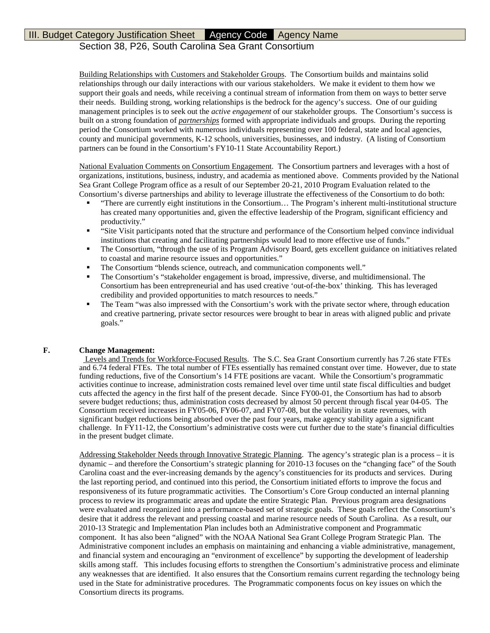# Section 38, P26, South Carolina Sea Grant Consortium

Building Relationships with Customers and Stakeholder Groups. The Consortium builds and maintains solid relationships through our daily interactions with our various stakeholders. We make it evident to them how we support their goals and needs, while receiving a continual stream of information from them on ways to better serve their needs. Building strong, working relationships is the bedrock for the agency's success. One of our guiding management principles is to seek out the *active engagement* of our stakeholder groups. The Consortium's success is built on a strong foundation of *partnerships* formed with appropriate individuals and groups. During the reporting period the Consortium worked with numerous individuals representing over 100 federal, state and local agencies, county and municipal governments, K-12 schools, universities, businesses, and industry. (A listing of Consortium partners can be found in the Consortium's FY10-11 State Accountability Report.)

National Evaluation Comments on Consortium Engagement. The Consortium partners and leverages with a host of organizations, institutions, business, industry, and academia as mentioned above. Comments provided by the National Sea Grant College Program office as a result of our September 20-21, 2010 Program Evaluation related to the Consortium's diverse partnerships and ability to leverage illustrate the effectiveness of the Consortium to do both:

- "There are currently eight institutions in the Consortium… The Program's inherent multi-institutional structure has created many opportunities and, given the effective leadership of the Program, significant efficiency and productivity."
- "Site Visit participants noted that the structure and performance of the Consortium helped convince individual institutions that creating and facilitating partnerships would lead to more effective use of funds."
- The Consortium, "through the use of its Program Advisory Board, gets excellent guidance on initiatives related to coastal and marine resource issues and opportunities."
- The Consortium "blends science, outreach, and communication components well."
- The Consortium's "stakeholder engagement is broad, impressive, diverse, and multidimensional. The Consortium has been entrepreneurial and has used creative 'out-of-the-box' thinking. This has leveraged credibility and provided opportunities to match resources to needs."
- The Team "was also impressed with the Consortium's work with the private sector where, through education and creative partnering, private sector resources were brought to bear in areas with aligned public and private goals."

### **F. Change Management:**

Levels and Trends for Workforce-Focused Results. The S.C. Sea Grant Consortium currently has 7.26 state FTEs and 6.74 federal FTEs. The total number of FTEs essentially has remained constant over time. However, due to state funding reductions, five of the Consortium's 14 FTE positions are vacant. While the Consortium's programmatic activities continue to increase, administration costs remained level over time until state fiscal difficulties and budget cuts affected the agency in the first half of the present decade. Since FY00-01, the Consortium has had to absorb severe budget reductions; thus, administration costs decreased by almost 50 percent through fiscal year 04-05. The Consortium received increases in FY05-06, FY06-07, and FY07-08, but the volatility in state revenues, with significant budget reductions being absorbed over the past four years, make agency stability again a significant challenge. In FY11-12, the Consortium's administrative costs were cut further due to the state's financial difficulties in the present budget climate.

Addressing Stakeholder Needs through Innovative Strategic Planning. The agency's strategic plan is a process - it is dynamic – and therefore the Consortium's strategic planning for 2010-13 focuses on the "changing face" of the South Carolina coast and the ever-increasing demands by the agency's constituencies for its products and services. During the last reporting period, and continued into this period, the Consortium initiated efforts to improve the focus and responsiveness of its future programmatic activities. The Consortium's Core Group conducted an internal planning process to review its programmatic areas and update the entire Strategic Plan. Previous program area designations were evaluated and reorganized into a performance-based set of strategic goals. These goals reflect the Consortium's desire that it address the relevant and pressing coastal and marine resource needs of South Carolina. As a result, our 2010-13 Strategic and Implementation Plan includes both an Administrative component and Programmatic component. It has also been "aligned" with the NOAA National Sea Grant College Program Strategic Plan. The Administrative component includes an emphasis on maintaining and enhancing a viable administrative, management, and financial system and encouraging an "environment of excellence" by supporting the development of leadership skills among staff. This includes focusing efforts to strengthen the Consortium's administrative process and eliminate any weaknesses that are identified. It also ensures that the Consortium remains current regarding the technology being used in the State for administrative procedures. The Programmatic components focus on key issues on which the Consortium directs its programs.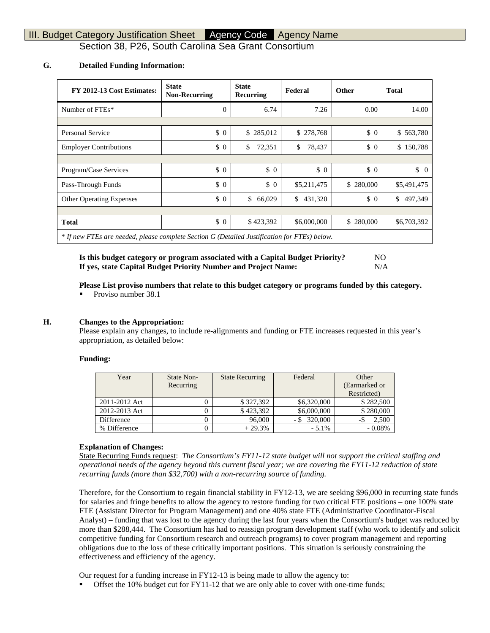Section 38, P26, South Carolina Sea Grant Consortium

### **G. Detailed Funding Information:**

| FY 2012-13 Cost Estimates:                                                                   | <b>State</b><br><b>Non-Recurring</b> | <b>State</b><br>Recurring | Federal       | <b>Other</b> | <b>Total</b>   |
|----------------------------------------------------------------------------------------------|--------------------------------------|---------------------------|---------------|--------------|----------------|
| Number of FTEs*                                                                              | $\Omega$                             | 6.74                      | 7.26          | 0.00         | 14.00          |
|                                                                                              |                                      |                           |               |              |                |
| <b>Personal Service</b>                                                                      | \$0                                  | \$285,012                 | \$278,768     | $\Omega$     | \$563,780      |
| <b>Employer Contributions</b>                                                                | $\frac{1}{2}$                        | \$<br>72,351              | \$<br>78,437  | $\Omega$     | \$150,788      |
|                                                                                              |                                      |                           |               |              |                |
| Program/Case Services                                                                        | $\frac{1}{2}$                        | $\Omega$                  | $\Omega$      | $\Omega$     | \$<br>$\Omega$ |
| Pass-Through Funds                                                                           | $\frac{1}{2}$                        | $\frac{1}{2}$             | \$5,211,475   | \$280,000    | \$5,491,475    |
| <b>Other Operating Expenses</b>                                                              | $\frac{1}{2}$                        | \$<br>66,029              | \$<br>431,320 | $\Omega$     | \$<br>497,349  |
|                                                                                              |                                      |                           |               |              |                |
| <b>Total</b>                                                                                 | $\frac{1}{2}$                        | \$423,392                 | \$6,000,000   | \$280,000    | \$6,703,392    |
| * If new FTEs are needed, please complete Section G (Detailed Justification for FTEs) below. |                                      |                           |               |              |                |

**Is this budget category or program associated with a Capital Budget Priority?** NO **If yes, state Capital Budget Priority Number and Project Name:** N/A

#### **Please List proviso numbers that relate to this budget category or programs funded by this category.**

Proviso number 38.1

#### **H. Changes to the Appropriation:**

Please explain any changes, to include re-alignments and funding or FTE increases requested in this year's appropriation, as detailed below:

#### **Funding:**

| Year          | State Non- | <b>State Recurring</b> | Federal     | Other         |
|---------------|------------|------------------------|-------------|---------------|
|               | Recurring  |                        |             | (Earmarked or |
|               |            |                        |             | Restricted)   |
| 2011-2012 Act |            | \$327,392              | \$6,320,000 | \$282,500     |
| 2012-2013 Act |            | \$423,392              | \$6,000,000 | \$280,000     |
| Difference    |            | 96,000                 | 320,000     | 2,500<br>- 5  |
| % Difference  |            | $+29.3%$               | $-5.1\%$    | $-0.08\%$     |

#### **Explanation of Changes:**

State Recurring Funds request: *The Consortium's FY11-12 state budget will not support the critical staffing and operational needs of the agency beyond this current fiscal year; we are covering the FY11-12 reduction of state recurring funds (more than \$32,700) with a non-recurring source of funding.* 

Therefore, for the Consortium to regain financial stability in FY12-13, we are seeking \$96,000 in recurring state funds for salaries and fringe benefits to allow the agency to restore funding for two critical FTE positions – one 100% state FTE (Assistant Director for Program Management) and one 40% state FTE (Administrative Coordinator-Fiscal Analyst) – funding that was lost to the agency during the last four years when the Consortium's budget was reduced by more than \$288,444. The Consortium has had to reassign program development staff (who work to identify and solicit competitive funding for Consortium research and outreach programs) to cover program management and reporting obligations due to the loss of these critically important positions. This situation is seriously constraining the effectiveness and efficiency of the agency.

Our request for a funding increase in FY12-13 is being made to allow the agency to:

Offset the 10% budget cut for FY11-12 that we are only able to cover with one-time funds;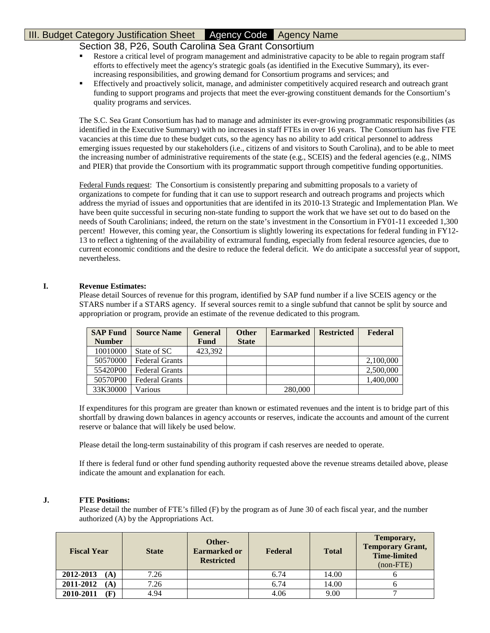# Section 38, P26, South Carolina Sea Grant Consortium

- Restore a critical level of program management and administrative capacity to be able to regain program staff efforts to effectively meet the agency's strategic goals (as identified in the Executive Summary), its everincreasing responsibilities, and growing demand for Consortium programs and services; and
- Effectively and proactively solicit, manage, and administer competitively acquired research and outreach grant funding to support programs and projects that meet the ever-growing constituent demands for the Consortium's quality programs and services.

The S.C. Sea Grant Consortium has had to manage and administer its ever-growing programmatic responsibilities (as identified in the Executive Summary) with no increases in staff FTEs in over 16 years. The Consortium has five FTE vacancies at this time due to these budget cuts, so the agency has no ability to add critical personnel to address emerging issues requested by our stakeholders (i.e., citizens of and visitors to South Carolina), and to be able to meet the increasing number of administrative requirements of the state (e.g., SCEIS) and the federal agencies (e.g., NIMS and PIER) that provide the Consortium with its programmatic support through competitive funding opportunities.

Federal Funds request: The Consortium is consistently preparing and submitting proposals to a variety of organizations to compete for funding that it can use to support research and outreach programs and projects which address the myriad of issues and opportunities that are identifed in its 2010-13 Strategic and Implementation Plan. We have been quite successful in securing non-state funding to support the work that we have set out to do based on the needs of South Carolinians; indeed, the return on the state's investment in the Consortium in FY01-11 exceeded 1,300 percent! However, this coming year, the Consortium is slightly lowering its expectations for federal funding in FY12- 13 to reflect a tightening of the availability of extramural funding, especially from federal resource agencies, due to current economic conditions and the desire to reduce the federal deficit. We do anticipate a successful year of support, nevertheless.

### **I. Revenue Estimates:**

Please detail Sources of revenue for this program, identified by SAP fund number if a live SCEIS agency or the STARS number if a STARS agency. If several sources remit to a single subfund that cannot be split by source and appropriation or program, provide an estimate of the revenue dedicated to this program.

| <b>SAP Fund</b> | <b>Source Name</b>    | General     | <b>Other</b> | <b>Earmarked</b> | <b>Restricted</b> | <b>Federal</b> |
|-----------------|-----------------------|-------------|--------------|------------------|-------------------|----------------|
| <b>Number</b>   |                       | <b>Fund</b> | <b>State</b> |                  |                   |                |
| 10010000        | State of SC           | 423.392     |              |                  |                   |                |
| 50570000        | <b>Federal Grants</b> |             |              |                  |                   | 2,100,000      |
| 55420P00        | <b>Federal Grants</b> |             |              |                  |                   | 2,500,000      |
| 50570P00        | <b>Federal Grants</b> |             |              |                  |                   | 1,400,000      |
| 33K30000        | Various               |             |              | 280,000          |                   |                |

If expenditures for this program are greater than known or estimated revenues and the intent is to bridge part of this shortfall by drawing down balances in agency accounts or reserves, indicate the accounts and amount of the current reserve or balance that will likely be used below.

Please detail the long-term sustainability of this program if cash reserves are needed to operate.

If there is federal fund or other fund spending authority requested above the revenue streams detailed above, please indicate the amount and explanation for each.

### **J. FTE Positions:**

Please detail the number of FTE's filled (F) by the program as of June 30 of each fiscal year, and the number authorized (A) by the Appropriations Act.

| <b>Fiscal Year</b> | <b>State</b> | Other-<br><b>Earmarked or</b><br><b>Restricted</b> | Federal | <b>Total</b> | Temporary,<br><b>Temporary Grant,</b><br><b>Time-limited</b><br>$non-FTE$ |
|--------------------|--------------|----------------------------------------------------|---------|--------------|---------------------------------------------------------------------------|
| 2012-2013<br>(A)   | 7.26         |                                                    | 6.74    | 14.00        |                                                                           |
| 2011-2012<br>(A)   | 7.26         |                                                    | 6.74    | 14.00        |                                                                           |
| 2010-2011          | 4.94         |                                                    | 4.06    | 9.00         |                                                                           |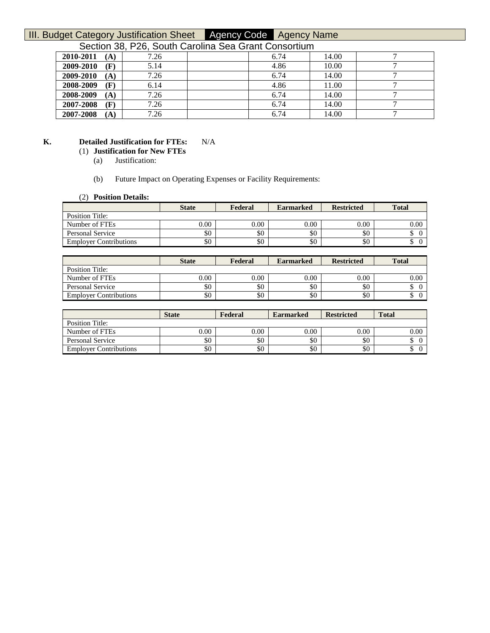Section 38, P26, South Carolina Sea Grant Consortium

| _ _ _ . _ . _ _ _ _ . |      |      |       |  |
|-----------------------|------|------|-------|--|
| 2010-2011<br>(A)      | 7.26 | 6.74 | 14.00 |  |
| 2009-2010<br>(F)      | 5.14 | 4.86 | 10.00 |  |
| 2009-2010<br>(A)      | 7.26 | 6.74 | 14.00 |  |
| 2008-2009<br>(F)      | 6.14 | 4.86 | 11.00 |  |
| 2008-2009<br>$\bf(A)$ | 7.26 | 6.74 | 14.00 |  |
| 2007-2008<br>(F)      | 7.26 | 6.74 | 14.00 |  |
| 2007-2008<br>(A)      | 7.26 | 6.74 | 14.00 |  |

## **K. Detailed Justification for FTEs:** N/A

## (1) **Justification for New FTEs**

(a) Justification:

#### (b) Future Impact on Operating Expenses or Facility Requirements:

#### (2) **Position Details:**

|                               | <b>State</b> | Federal | <b>Earmarked</b> | <b>Restricted</b> | <b>Total</b> |
|-------------------------------|--------------|---------|------------------|-------------------|--------------|
| Position Title:               |              |         |                  |                   |              |
| Number of FTEs                | $0.00\,$     | 0.00    | 0.00             | 0.00              | 0.00         |
| Personal Service              | \$0          | \$0     | \$0              | \$0               |              |
| <b>Employer Contributions</b> | \$0          | \$0     | \$0              | \$0               |              |

|                               | <b>State</b> | Federal | <b>Earmarked</b> | <b>Restricted</b> | Total    |
|-------------------------------|--------------|---------|------------------|-------------------|----------|
| Position Title:               |              |         |                  |                   |          |
| Number of FTEs                | $0.00\,$     | 0.00    | 0.00             | 0.00              | $0.00\,$ |
| Personal Service              | \$0          | \$0     | \$0              | \$0               |          |
| <b>Employer Contributions</b> | \$0          | \$0     | \$0              | \$0               |          |

|                               | <b>State</b> | Federal | <b>Earmarked</b> | <b>Restricted</b> | <b>Total</b> |
|-------------------------------|--------------|---------|------------------|-------------------|--------------|
| <b>Position Title:</b>        |              |         |                  |                   |              |
| Number of FTEs                | $0.00\,$     | 0.00    | 0.00             | 0.00              | 0.00         |
| <b>Personal Service</b>       | \$0          | \$0     | \$0              | \$0               |              |
| <b>Employer Contributions</b> | \$0          | \$0     | \$0              | \$0               |              |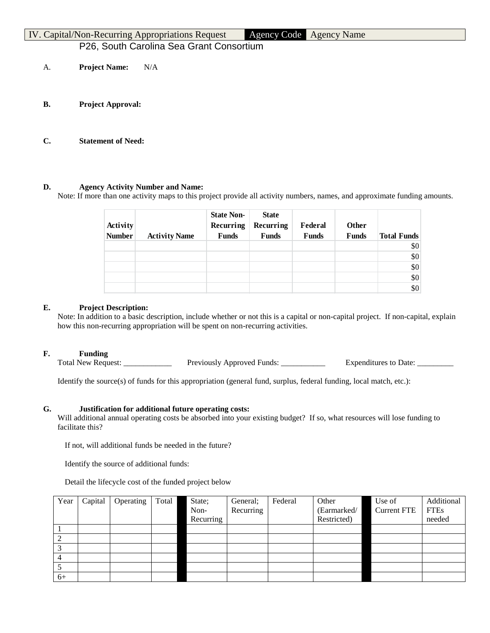|    |                      | IV. Capital/Non-Recurring Appropriations Request | Agency Code Agency Name |
|----|----------------------|--------------------------------------------------|-------------------------|
|    |                      | P26, South Carolina Sea Grant Consortium         |                         |
| А. | <b>Project Name:</b> | N/A                                              |                         |

- **B. Project Approval:**
- **C. Statement of Need:**

## **D. Agency Activity Number and Name:**

Note: If more than one activity maps to this project provide all activity numbers, names, and approximate funding amounts.

| Activity<br><b>Number</b> | <b>Activity Name</b> | <b>State Non-</b><br>Recurring<br><b>Funds</b> | <b>State</b><br>Recurring<br><b>Funds</b> | Federal<br><b>Funds</b> | Other<br><b>Funds</b> | <b>Total Funds</b> |
|---------------------------|----------------------|------------------------------------------------|-------------------------------------------|-------------------------|-----------------------|--------------------|
|                           |                      |                                                |                                           |                         |                       | \$0                |
|                           |                      |                                                |                                           |                         |                       | \$0                |
|                           |                      |                                                |                                           |                         |                       | \$0                |
|                           |                      |                                                |                                           |                         |                       | \$0                |
|                           |                      |                                                |                                           |                         |                       | \$0                |

## **E. Project Description:**

Note: In addition to a basic description, include whether or not this is a capital or non-capital project. If non-capital, explain how this non-recurring appropriation will be spent on non-recurring activities.

### **F. Funding**

Total New Request: \_\_\_\_\_\_\_\_\_\_\_\_\_\_ Previously Approved Funds: \_\_\_\_\_\_\_\_\_\_\_\_\_ Expenditures to Date: \_\_\_\_

Identify the source(s) of funds for this appropriation (general fund, surplus, federal funding, local match, etc.):

### **G. Justification for additional future operating costs:**

Will additional annual operating costs be absorbed into your existing budget? If so, what resources will lose funding to facilitate this?

If not, will additional funds be needed in the future?

Identify the source of additional funds:

Detail the lifecycle cost of the funded project below

| Year | Capital | Operating | Total | State;    | General;  | Federal | Other       | Use of             | Additional  |
|------|---------|-----------|-------|-----------|-----------|---------|-------------|--------------------|-------------|
|      |         |           |       | Non-      | Recurring |         | (Earmarked/ | <b>Current FTE</b> | <b>FTEs</b> |
|      |         |           |       | Recurring |           |         | Restricted) |                    | needed      |
|      |         |           |       |           |           |         |             |                    |             |
|      |         |           |       |           |           |         |             |                    |             |
|      |         |           |       |           |           |         |             |                    |             |
| 4    |         |           |       |           |           |         |             |                    |             |
|      |         |           |       |           |           |         |             |                    |             |
| $6+$ |         |           |       |           |           |         |             |                    |             |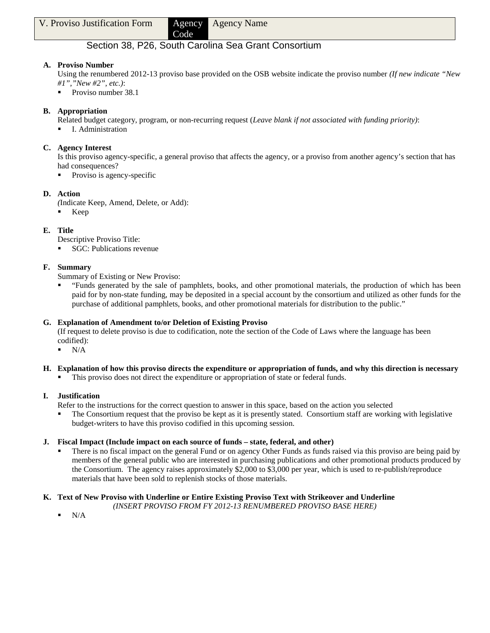# Section 38, P26, South Carolina Sea Grant Consortium

Code

# **A. Proviso Number**

Using the renumbered 2012-13 proviso base provided on the OSB website indicate the proviso number *(If new indicate "New #1","New #2", etc.)*:

Proviso number 38.1

# **B. Appropriation**

Related budget category, program, or non-recurring request (*Leave blank if not associated with funding priority)*:

I. Administration

## **C. Agency Interest**

Is this proviso agency-specific, a general proviso that affects the agency, or a proviso from another agency's section that has had consequences?

Proviso is agency-specific

## **D. Action**

*(*Indicate Keep, Amend, Delete, or Add):

 $\blacksquare$  Keep

# **E. Title**

Descriptive Proviso Title:

■ SGC: Publications revenue

## **F. Summary**

Summary of Existing or New Proviso:

 "Funds generated by the sale of pamphlets, books, and other promotional materials, the production of which has been paid for by non-state funding, may be deposited in a special account by the consortium and utilized as other funds for the purchase of additional pamphlets, books, and other promotional materials for distribution to the public."

# **G. Explanation of Amendment to/or Deletion of Existing Proviso**

(If request to delete proviso is due to codification, note the section of the Code of Laws where the language has been codified):

 $\blacksquare$  N/A

### **H. Explanation of how this proviso directs the expenditure or appropriation of funds, and why this direction is necessary**

This proviso does not direct the expenditure or appropriation of state or federal funds.

# **I. Justification**

- Refer to the instructions for the correct question to answer in this space, based on the action you selected
- The Consortium request that the proviso be kept as it is presently stated. Consortium staff are working with legislative budget-writers to have this proviso codified in this upcoming session.

### **J. Fiscal Impact (Include impact on each source of funds – state, federal, and other)**

 There is no fiscal impact on the general Fund or on agency Other Funds as funds raised via this proviso are being paid by members of the general public who are interested in purchasing publications and other promotional products produced by the Consortium. The agency raises approximately \$2,000 to \$3,000 per year, which is used to re-publish/reproduce materials that have been sold to replenish stocks of those materials.

# **K. Text of New Proviso with Underline or Entire Existing Proviso Text with Strikeover and Underline**

*(INSERT PROVISO FROM FY 2012-13 RENUMBERED PROVISO BASE HERE)*

N/A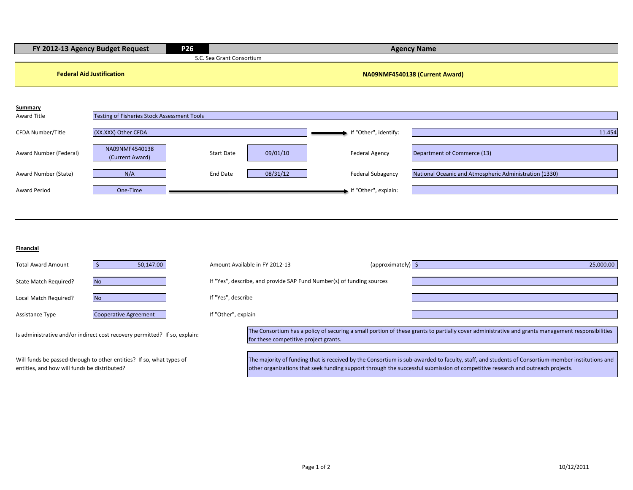|                                  | FY 2012-13 Agency Budget Request            | P <sub>26</sub>           |                                |                          | <b>Agency Name</b>                                     |  |  |
|----------------------------------|---------------------------------------------|---------------------------|--------------------------------|--------------------------|--------------------------------------------------------|--|--|
|                                  |                                             | S.C. Sea Grant Consortium |                                |                          |                                                        |  |  |
| <b>Federal Aid Justification</b> |                                             |                           | NA09NMF4540138 (Current Award) |                          |                                                        |  |  |
| Summary                          |                                             |                           |                                |                          |                                                        |  |  |
| Award Title                      | Testing of Fisheries Stock Assessment Tools |                           |                                |                          |                                                        |  |  |
| CFDA Number/Title                | (XX.XXX) Other CFDA                         |                           |                                | If "Other", identify:    | 11.454                                                 |  |  |
| Award Number (Federal)           | NA09NMF4540138<br>(Current Award)           | <b>Start Date</b>         | 09/01/10                       | <b>Federal Agency</b>    | Department of Commerce (13)                            |  |  |
| Award Number (State)             | N/A                                         | End Date                  | 08/31/12                       | <b>Federal Subagency</b> | National Oceanic and Atmospheric Administration (1330) |  |  |
| <b>Award Period</b>              | One-Time                                    |                           |                                | If "Other", explain:     |                                                        |  |  |
|                                  |                                             |                           |                                |                          |                                                        |  |  |

#### **Financial**

entities, and how will funds be distributed?

| <b>Total Award Amount</b>                                                  | 50,147.00                                                            | Amount Available in FY 2012-13 |                                                                                                                                                                                           | (approximately) $\frac{1}{2}$ | 25,000.00                                                                                                                                       |  |
|----------------------------------------------------------------------------|----------------------------------------------------------------------|--------------------------------|-------------------------------------------------------------------------------------------------------------------------------------------------------------------------------------------|-------------------------------|-------------------------------------------------------------------------------------------------------------------------------------------------|--|
| State Match Required?                                                      | <b>No</b>                                                            |                                | If "Yes", describe, and provide SAP Fund Number(s) of funding sources                                                                                                                     |                               |                                                                                                                                                 |  |
| Local Match Required?                                                      | <b>No</b>                                                            | If "Yes", describe             |                                                                                                                                                                                           |                               |                                                                                                                                                 |  |
| Assistance Type                                                            | Cooperative Agreement                                                | If "Other", explain            |                                                                                                                                                                                           |                               |                                                                                                                                                 |  |
| Is administrative and/or indirect cost recovery permitted? If so, explain: |                                                                      |                                | The Consortium has a policy of securing a small portion of these grants to partially cover administrative and grants management responsibilities<br>for these competitive project grants. |                               |                                                                                                                                                 |  |
|                                                                            | Will funds be passed-through to other entities? If so, what types of |                                |                                                                                                                                                                                           |                               | The majority of funding that is received by the Consortium is sub-awarded to faculty, staff, and students of Consortium-member institutions and |  |

other organizations that seek funding support through the successful submission of competitive research and outreach projects.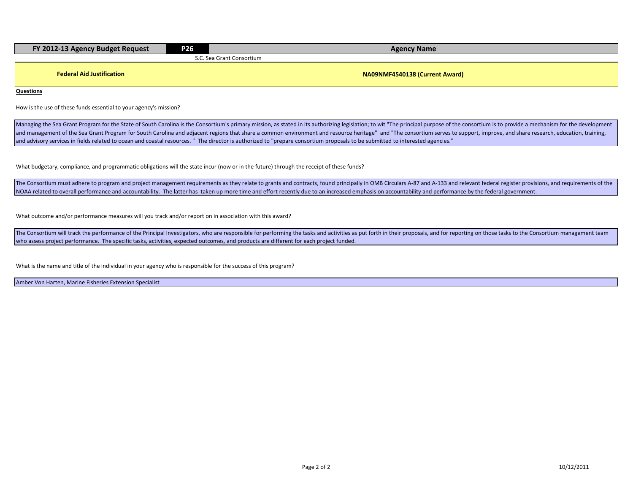| FY 2012-13 Agency Budget Request | P26                            | <b>Agency Name</b> |  |  |  |  |  |
|----------------------------------|--------------------------------|--------------------|--|--|--|--|--|
|                                  | ∴ Sea Grant Consortium<br>いし・い |                    |  |  |  |  |  |
|                                  |                                |                    |  |  |  |  |  |

**Federal Aid Justification NA09NMF4540138 (Current Award)** 

**Questions**

How is the use of these funds essential to your agency's mission?

Managing the Sea Grant Program for the State of South Carolina is the Consortium's primary mission, as stated in its authorizing legislation; to wit "The principal purpose of the consortium is to provide a mechanism for th and management of the Sea Grant Program for South Carolina and adjacent regions that share a common environment and resource heritage" and "The consortium serves to support, improve, and share research, education, training and advisory services in fields related to ocean and coastal resources. " The director is authorized to "prepare consortium proposals to be submitted to interested agencies."

What budgetary, compliance, and programmatic obligations will the state incur (now or in the future) through the receipt of these funds?

The Consortium must adhere to program and project management requirements as they relate to grants and contracts, found principally in OMB Circulars A-87 and A-133 and relevant federal register provisions, and requirements NOAA related to overall performance and accountability. The latter has taken up more time and effort recently due to an increased emphasis on accountability and performance by the federal government.

What outcome and/or performance measures will you track and/or report on in association with this award?

The Consortium will track the performance of the Principal Investigators, who are responsible for performing the tasks and activities as put forth in their proposals, and for reporting on those tasks to the Consortium mana who assess project performance. The specific tasks, activities, expected outcomes, and products are different for each project funded.

What is the name and title of the individual in your agency who is responsible for the success of this program?

Amber Von Harten, Marine Fisheries Extension Specialist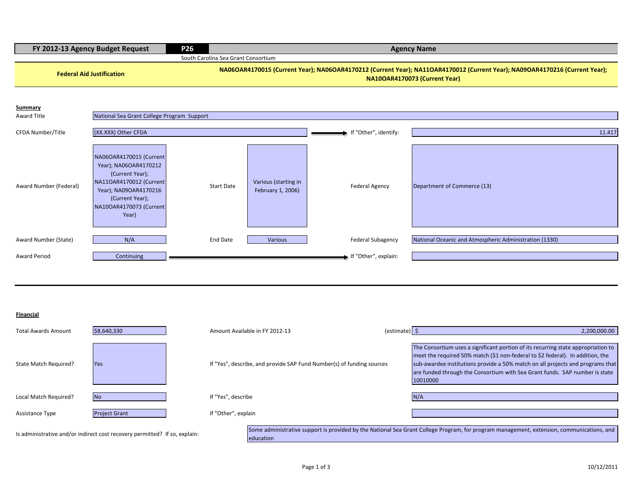| FY 2012-13 Agency Budget Request | <b>P26</b> | <b>Agency Name</b>                                                                                                                                           |
|----------------------------------|------------|--------------------------------------------------------------------------------------------------------------------------------------------------------------|
|                                  |            | South Carolina Sea Grant Consortium                                                                                                                          |
| <b>Federal Aid Justification</b> |            | NA06OAR4170015 (Current Year); NA06OAR4170212 (Current Year); NA11OAR4170012 (Current Year); NA09OAR4170216 (Current Year);<br>NA10OAR4170073 (Current Year) |
|                                  |            |                                                                                                                                                              |

| Summary<br>Award Title | National Sea Grant College Program Support                                                                                                                                     |            |                                           |                          |                                                        |
|------------------------|--------------------------------------------------------------------------------------------------------------------------------------------------------------------------------|------------|-------------------------------------------|--------------------------|--------------------------------------------------------|
| CFDA Number/Title      | (XX.XXX) Other CFDA                                                                                                                                                            |            |                                           | If "Other", identify:    | 11.417                                                 |
| Award Number (Federal) | NA06OAR4170015 (Current<br>Year); NA06OAR4170212<br>(Current Year);<br>NA11OAR4170012 (Current<br>Year); NA09OAR4170216<br>(Current Year);<br>NA10OAR4170073 (Current<br>Year) | Start Date | Various (starting in<br>February 1, 2006) | <b>Federal Agency</b>    | Department of Commerce (13)                            |
| Award Number (State)   | N/A                                                                                                                                                                            | End Date   | Various                                   | <b>Federal Subagency</b> | National Oceanic and Atmospheric Administration (1330) |
| <b>Award Period</b>    | Continuing                                                                                                                                                                     |            |                                           | If "Other", explain:     |                                                        |

**Financial**

| <b>Total Awards Amount</b> | \$8,640,330                                                                | Amount Available in FY 2012-13                                        | $\text{(estimate)}$ | 2,200,000.00                                                                                                                                                                                                                                                                                                                                     |
|----------------------------|----------------------------------------------------------------------------|-----------------------------------------------------------------------|---------------------|--------------------------------------------------------------------------------------------------------------------------------------------------------------------------------------------------------------------------------------------------------------------------------------------------------------------------------------------------|
| State Match Required?      | <b>Yes</b>                                                                 | If "Yes", describe, and provide SAP Fund Number(s) of funding sources |                     | The Consortium uses a significant portion of its recurring state appropriation to<br>meet the required 50% match (\$1 non-federal to \$2 federal). In addition, the<br>sub-awardee institutions provide a 50% match on all projects and programs that<br>are funded through the Consortium with Sea Grant funds. SAP number is state<br>10010000 |
| Local Match Required?      | <b>No</b>                                                                  | If "Yes". describe                                                    |                     | N/A                                                                                                                                                                                                                                                                                                                                              |
| <b>Assistance Type</b>     | <b>Project Grant</b>                                                       | If "Other", explain                                                   |                     |                                                                                                                                                                                                                                                                                                                                                  |
|                            | Is administrative and/or indirect cost recovery permitted? If so, explain: | education                                                             |                     | Some administrative support is provided by the National Sea Grant College Program, for program management, extension, communications, and                                                                                                                                                                                                        |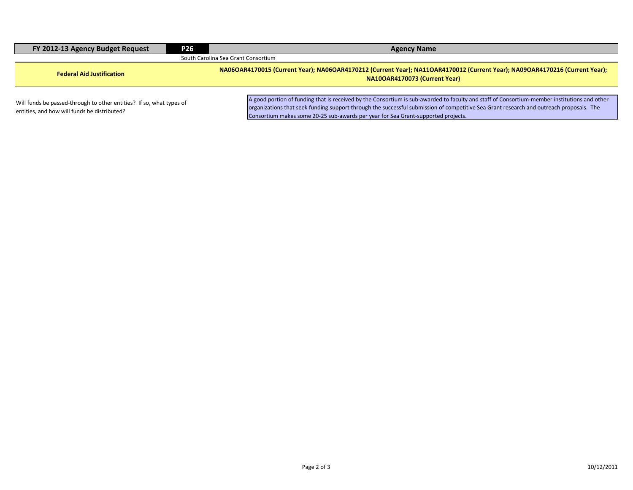| FY 2012-13 Agency Budget Request                                                                                     | <b>P26</b> | <b>Agency Name</b>                                                                                                                                                                                                                                                                                                                                                           |  |  |  |  |
|----------------------------------------------------------------------------------------------------------------------|------------|------------------------------------------------------------------------------------------------------------------------------------------------------------------------------------------------------------------------------------------------------------------------------------------------------------------------------------------------------------------------------|--|--|--|--|
| South Carolina Sea Grant Consortium                                                                                  |            |                                                                                                                                                                                                                                                                                                                                                                              |  |  |  |  |
| <b>Federal Aid Justification</b>                                                                                     |            | NA06OAR4170015 (Current Year); NA06OAR4170212 (Current Year); NA11OAR4170012 (Current Year); NA09OAR4170216 (Current Year);<br>NA10OAR4170073 (Current Year)                                                                                                                                                                                                                 |  |  |  |  |
| Will funds be passed-through to other entities? If so, what types of<br>entities, and how will funds be distributed? |            | A good portion of funding that is received by the Consortium is sub-awarded to faculty and staff of Consortium-member institutions and other<br>organizations that seek funding support through the successful submission of competitive Sea Grant research and outreach proposals. The<br>Consortium makes some 20-25 sub-awards per year for Sea Grant-supported projects. |  |  |  |  |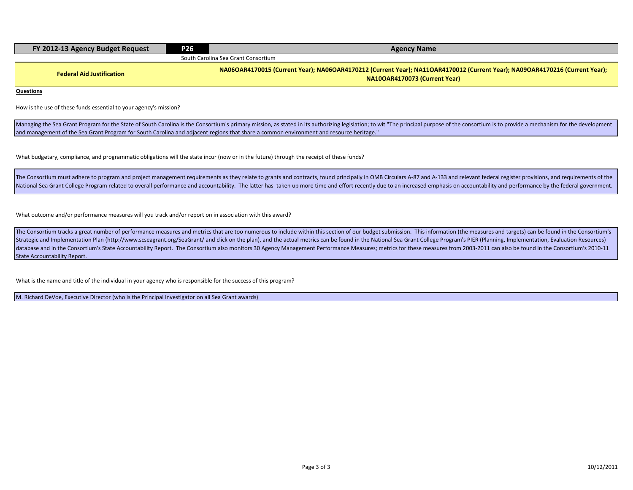| FY 2012-13 Agency Budget Request | <b>P26</b> | <b>Agency Name</b>                                                                                                                                           |  |  |  |  |  |
|----------------------------------|------------|--------------------------------------------------------------------------------------------------------------------------------------------------------------|--|--|--|--|--|
|                                  |            | South Carolina Sea Grant Consortium                                                                                                                          |  |  |  |  |  |
| <b>Federal Aid Justification</b> |            | NA06OAR4170015 (Current Year); NA06OAR4170212 (Current Year); NA11OAR4170012 (Current Year); NA09OAR4170216 (Current Year);<br>NA10OAR4170073 (Current Year) |  |  |  |  |  |
| <b>Questions</b>                 |            |                                                                                                                                                              |  |  |  |  |  |

How is the use of these funds essential to your agency's mission?

Managing the Sea Grant Program for the State of South Carolina is the Consortium's primary mission, as stated in its authorizing legislation; to wit "The principal purpose of the consortium is to provide a mechanism for th and management of the Sea Grant Program for South Carolina and adjacent regions that share a common environment and resource heritage."

What budgetary, compliance, and programmatic obligations will the state incur (now or in the future) through the receipt of these funds?

The Consortium must adhere to program and project management requirements as they relate to grants and contracts, found principally in OMB Circulars A-87 and A-133 and relevant federal register provisions, and requirements National Sea Grant College Program related to overall performance and accountability. The latter has taken up more time and effort recently due to an increased emphasis on accountability and performance by the federal gove

What outcome and/or performance measures will you track and/or report on in association with this award?

The Consortium tracks a great number of performance measures and metrics that are too numerous to include within this section of our budget submission. This information (the measures and targets) can be found in the Consor Strategic and Implementation Plan (http://www.scseagrant.org/SeaGrant/ and click on the plan), and the actual metrics can be found in the National Sea Grant College Program's PIER (Planning, Implementation, Evaluation Reso database and in the Consortium's State Accountability Report. The Consortium also monitors 30 Agency Management Performance Measures; metrics for these measures from 2003-2011 can also be found in the Consortium's 2010-11 State Accountability Report.

What is the name and title of the individual in your agency who is responsible for the success of this program?

M. Richard DeVoe, Executive Director (who is the Principal Investigator on all Sea Grant awards)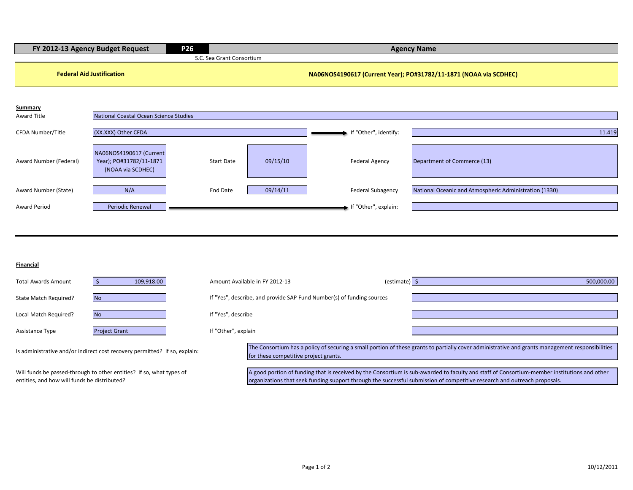| P <sub>26</sub><br>FY 2012-13 Agency Budget Request |                                                                            |                           | <b>Agency Name</b>                    |                                                                       |                                                                                                                                                                                                                                                                           |  |
|-----------------------------------------------------|----------------------------------------------------------------------------|---------------------------|---------------------------------------|-----------------------------------------------------------------------|---------------------------------------------------------------------------------------------------------------------------------------------------------------------------------------------------------------------------------------------------------------------------|--|
|                                                     |                                                                            | S.C. Sea Grant Consortium |                                       |                                                                       |                                                                                                                                                                                                                                                                           |  |
| <b>Federal Aid Justification</b>                    |                                                                            |                           |                                       |                                                                       | NA06NOS4190617 (Current Year); PO#31782/11-1871 (NOAA via SCDHEC)                                                                                                                                                                                                         |  |
| <b>Summary</b><br><b>Award Title</b>                | National Coastal Ocean Science Studies                                     |                           |                                       |                                                                       |                                                                                                                                                                                                                                                                           |  |
|                                                     |                                                                            |                           |                                       |                                                                       |                                                                                                                                                                                                                                                                           |  |
| CFDA Number/Title                                   | (XX.XXX) Other CFDA                                                        |                           |                                       | If "Other", identify:                                                 | 11.419                                                                                                                                                                                                                                                                    |  |
| Award Number (Federal)                              | NA06NOS4190617 (Current<br>Year); PO#31782/11-1871<br>(NOAA via SCDHEC)    | <b>Start Date</b>         | 09/15/10                              | <b>Federal Agency</b>                                                 | Department of Commerce (13)                                                                                                                                                                                                                                               |  |
| Award Number (State)                                | N/A                                                                        | <b>End Date</b>           | 09/14/11                              | <b>Federal Subagency</b>                                              | National Oceanic and Atmospheric Administration (1330)                                                                                                                                                                                                                    |  |
| <b>Award Period</b>                                 | <b>Periodic Renewal</b>                                                    |                           |                                       | If "Other", explain:                                                  |                                                                                                                                                                                                                                                                           |  |
|                                                     |                                                                            |                           |                                       |                                                                       |                                                                                                                                                                                                                                                                           |  |
|                                                     |                                                                            |                           |                                       |                                                                       |                                                                                                                                                                                                                                                                           |  |
| Financial                                           |                                                                            |                           |                                       |                                                                       |                                                                                                                                                                                                                                                                           |  |
| <b>Total Awards Amount</b>                          | $\vert$ \$<br>109,918.00                                                   |                           | Amount Available in FY 2012-13        | (estimate) $\frac{1}{5}$                                              | 500,000.00                                                                                                                                                                                                                                                                |  |
| State Match Required?                               | <b>No</b>                                                                  |                           |                                       | If "Yes", describe, and provide SAP Fund Number(s) of funding sources |                                                                                                                                                                                                                                                                           |  |
| Local Match Required?                               | <b>No</b>                                                                  | If "Yes", describe        |                                       |                                                                       |                                                                                                                                                                                                                                                                           |  |
| Assistance Type                                     | <b>Project Grant</b>                                                       | If "Other", explain       |                                       |                                                                       |                                                                                                                                                                                                                                                                           |  |
|                                                     | Is administrative and/or indirect cost recovery permitted? If so, explain: |                           | for these competitive project grants. |                                                                       | The Consortium has a policy of securing a small portion of these grants to partially cover administrative and grants management responsibilities                                                                                                                          |  |
| entities, and how will funds be distributed?        | Will funds be passed-through to other entities? If so, what types of       |                           |                                       |                                                                       | A good portion of funding that is received by the Consortium is sub-awarded to faculty and staff of Consortium-member institutions and other<br>organizations that seek funding support through the successful submission of competitive research and outreach proposals. |  |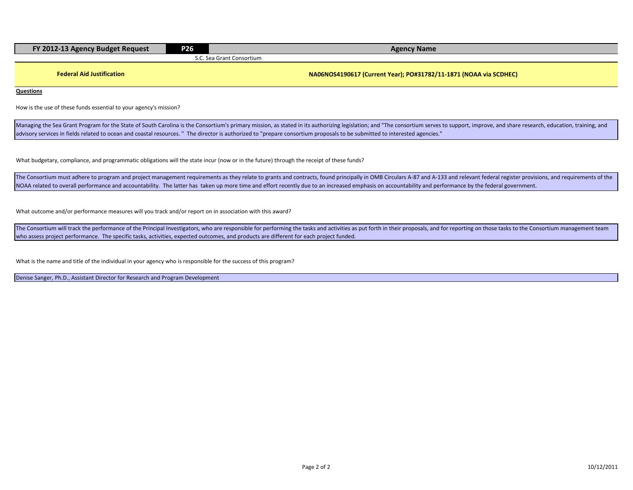| FY 2012-13 Agency Budget Request | P <sub>26</sub> | <b>Agency Name</b>         |  |  |  |
|----------------------------------|-----------------|----------------------------|--|--|--|
|                                  |                 | C. Sea Grant Consortium. د |  |  |  |
|                                  |                 |                            |  |  |  |

**Federal Aid Justification NA06NOS4190617 (Current Year); PO#31782/11-1871 (NOAA via SCDHEC)**

**Questions**

How is the use of these funds essential to your agency's mission?

Managing the Sea Grant Program for the State of South Carolina is the Consortium's primary mission, as stated in its authorizing legislation; and "The consortium serves to support, improve, and share research, education, t advisory services in fields related to ocean and coastal resources. " The director is authorized to "prepare consortium proposals to be submitted to interested agencies."

What budgetary, compliance, and programmatic obligations will the state incur (now or in the future) through the receipt of these funds?

The Consortium must adhere to program and project management requirements as they relate to grants and contracts, found principally in OMB Circulars A-87 and A-133 and relevant federal register provisions, and requirements NOAA related to overall performance and accountability. The latter has taken up more time and effort recently due to an increased emphasis on accountability and performance by the federal government.

What outcome and/or performance measures will you track and/or report on in association with this award?

The Consortium will track the performance of the Principal Investigators, who are responsible for performing the tasks and activities as put forth in their proposals, and for reporting on those tasks to the Consortium mana who assess project performance. The specific tasks, activities, expected outcomes, and products are different for each project funded.

What is the name and title of the individual in your agency who is responsible for the success of this program?

Denise Sanger, Ph.D., Assistant Director for Research and Program Development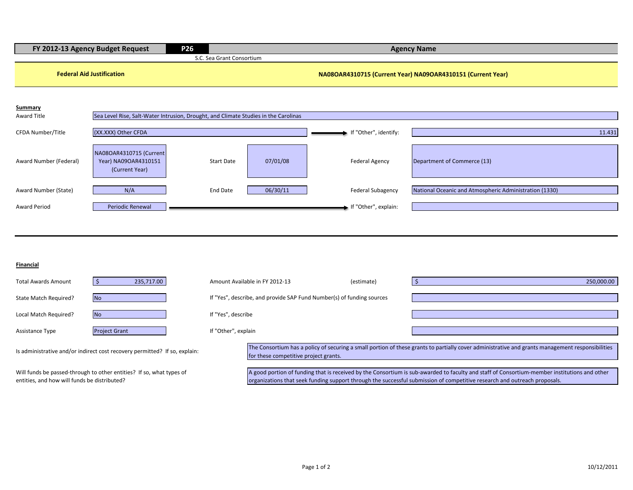| FY 2012-13 Agency Budget Request                                           |                                                                                     | P <sub>26</sub>           | <b>Agency Name</b>                                                                                                                                                                        |                                                                       |                                                                                                                                              |  |  |  |
|----------------------------------------------------------------------------|-------------------------------------------------------------------------------------|---------------------------|-------------------------------------------------------------------------------------------------------------------------------------------------------------------------------------------|-----------------------------------------------------------------------|----------------------------------------------------------------------------------------------------------------------------------------------|--|--|--|
|                                                                            |                                                                                     | S.C. Sea Grant Consortium |                                                                                                                                                                                           |                                                                       |                                                                                                                                              |  |  |  |
|                                                                            | <b>Federal Aid Justification</b>                                                    |                           | NA08OAR4310715 (Current Year) NA09OAR4310151 (Current Year)                                                                                                                               |                                                                       |                                                                                                                                              |  |  |  |
|                                                                            |                                                                                     |                           |                                                                                                                                                                                           |                                                                       |                                                                                                                                              |  |  |  |
| Summary                                                                    |                                                                                     |                           |                                                                                                                                                                                           |                                                                       |                                                                                                                                              |  |  |  |
| <b>Award Title</b>                                                         | Sea Level Rise, Salt-Water Intrusion, Drought, and Climate Studies in the Carolinas |                           |                                                                                                                                                                                           |                                                                       |                                                                                                                                              |  |  |  |
| CFDA Number/Title                                                          | (XX.XXX) Other CFDA                                                                 |                           |                                                                                                                                                                                           | If "Other", identify:                                                 | 11.431                                                                                                                                       |  |  |  |
|                                                                            |                                                                                     |                           |                                                                                                                                                                                           |                                                                       |                                                                                                                                              |  |  |  |
| Award Number (Federal)                                                     | NA08OAR4310715 (Current<br>Year) NA09OAR4310151                                     | <b>Start Date</b>         | 07/01/08                                                                                                                                                                                  | <b>Federal Agency</b>                                                 | Department of Commerce (13)                                                                                                                  |  |  |  |
|                                                                            | (Current Year)                                                                      |                           |                                                                                                                                                                                           |                                                                       |                                                                                                                                              |  |  |  |
| Award Number (State)                                                       | N/A                                                                                 | End Date                  | 06/30/11                                                                                                                                                                                  | <b>Federal Subagency</b>                                              | National Oceanic and Atmospheric Administration (1330)                                                                                       |  |  |  |
|                                                                            |                                                                                     |                           |                                                                                                                                                                                           |                                                                       |                                                                                                                                              |  |  |  |
| <b>Award Period</b>                                                        | <b>Periodic Renewal</b>                                                             |                           |                                                                                                                                                                                           | If "Other", explain:                                                  |                                                                                                                                              |  |  |  |
|                                                                            |                                                                                     |                           |                                                                                                                                                                                           |                                                                       |                                                                                                                                              |  |  |  |
|                                                                            |                                                                                     |                           |                                                                                                                                                                                           |                                                                       |                                                                                                                                              |  |  |  |
|                                                                            |                                                                                     |                           |                                                                                                                                                                                           |                                                                       |                                                                                                                                              |  |  |  |
|                                                                            |                                                                                     |                           |                                                                                                                                                                                           |                                                                       |                                                                                                                                              |  |  |  |
| <b>Financial</b>                                                           |                                                                                     |                           |                                                                                                                                                                                           |                                                                       |                                                                                                                                              |  |  |  |
| <b>Total Awards Amount</b>                                                 | 235,717.00<br>$\vert$ \$                                                            |                           | Amount Available in FY 2012-13                                                                                                                                                            | (estimate)                                                            | 250,000.00<br>l \$                                                                                                                           |  |  |  |
| State Match Required?                                                      | <b>No</b>                                                                           |                           |                                                                                                                                                                                           | If "Yes", describe, and provide SAP Fund Number(s) of funding sources |                                                                                                                                              |  |  |  |
| Local Match Required?                                                      | <b>No</b>                                                                           | If "Yes", describe        |                                                                                                                                                                                           |                                                                       |                                                                                                                                              |  |  |  |
|                                                                            |                                                                                     |                           |                                                                                                                                                                                           |                                                                       |                                                                                                                                              |  |  |  |
| Assistance Type                                                            | <b>Project Grant</b>                                                                | If "Other", explain       |                                                                                                                                                                                           |                                                                       |                                                                                                                                              |  |  |  |
| Is administrative and/or indirect cost recovery permitted? If so, explain: |                                                                                     |                           | The Consortium has a policy of securing a small portion of these grants to partially cover administrative and grants management responsibilities<br>for these competitive project grants. |                                                                       |                                                                                                                                              |  |  |  |
|                                                                            | Will funds be passed-through to other entities? If so, what types of                |                           |                                                                                                                                                                                           |                                                                       | A good portion of funding that is received by the Consortium is sub-awarded to faculty and staff of Consortium-member institutions and other |  |  |  |
| entities, and how will funds be distributed?                               |                                                                                     |                           |                                                                                                                                                                                           |                                                                       | organizations that seek funding support through the successful submission of competitive research and outreach proposals.                    |  |  |  |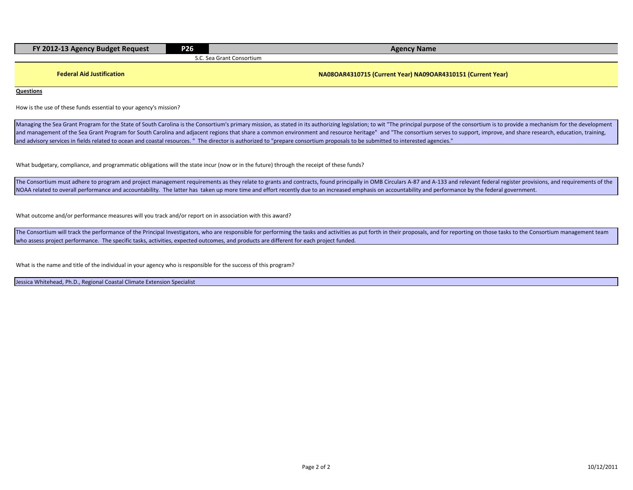| FY 2012-13 Agency Budget Request | P <sub>26</sub> | <b>Agency Name</b>        |  |  |  |
|----------------------------------|-----------------|---------------------------|--|--|--|
|                                  |                 | S.C. Sea Grant Consortium |  |  |  |
|                                  |                 |                           |  |  |  |

**Federal Aid Justification NA08OAR4310715 (Current Year) NA09OAR4310151 (Current Year)**

**Questions**

How is the use of these funds essential to your agency's mission?

Managing the Sea Grant Program for the State of South Carolina is the Consortium's primary mission, as stated in its authorizing legislation; to wit "The principal purpose of the consortium is to provide a mechanism for th and management of the Sea Grant Program for South Carolina and adjacent regions that share a common environment and resource heritage" and "The consortium serves to support, improve, and share research, education, training and advisory services in fields related to ocean and coastal resources. " The director is authorized to "prepare consortium proposals to be submitted to interested agencies."

What budgetary, compliance, and programmatic obligations will the state incur (now or in the future) through the receipt of these funds?

The Consortium must adhere to program and project management requirements as they relate to grants and contracts, found principally in OMB Circulars A-87 and A-133 and relevant federal register provisions, and requirements NOAA related to overall performance and accountability. The latter has taken up more time and effort recently due to an increased emphasis on accountability and performance by the federal government.

What outcome and/or performance measures will you track and/or report on in association with this award?

The Consortium will track the performance of the Principal Investigators, who are responsible for performing the tasks and activities as put forth in their proposals, and for reporting on those tasks to the Consortium mana who assess project performance. The specific tasks, activities, expected outcomes, and products are different for each project funded.

What is the name and title of the individual in your agency who is responsible for the success of this program?

Jessica Whitehead, Ph.D., Regional Coastal Climate Extension Specialist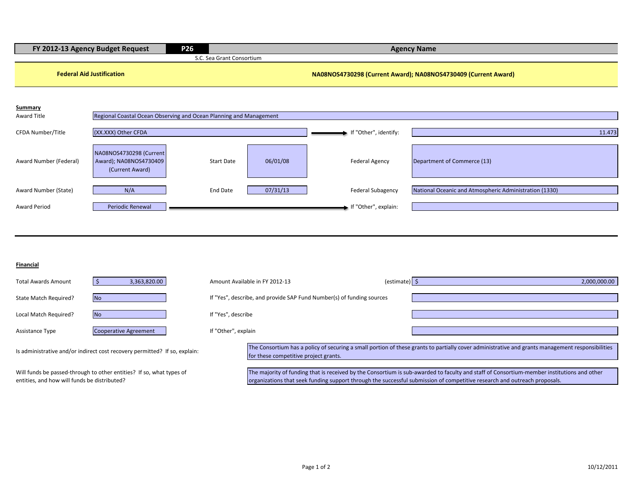| FY 2012-13 Agency Budget Request             |                                                                            | P <sub>26</sub><br><b>Agency Name</b> |                                                                                                                                                                                                                                                                         |                                                                       |                                                                                                                                                  |  |  |
|----------------------------------------------|----------------------------------------------------------------------------|---------------------------------------|-------------------------------------------------------------------------------------------------------------------------------------------------------------------------------------------------------------------------------------------------------------------------|-----------------------------------------------------------------------|--------------------------------------------------------------------------------------------------------------------------------------------------|--|--|
|                                              |                                                                            | S.C. Sea Grant Consortium             |                                                                                                                                                                                                                                                                         |                                                                       |                                                                                                                                                  |  |  |
|                                              | <b>Federal Aid Justification</b>                                           |                                       |                                                                                                                                                                                                                                                                         |                                                                       | NA08NOS4730298 (Current Award); NA08NOS4730409 (Current Award)                                                                                   |  |  |
| Summary<br><b>Award Title</b>                | Regional Coastal Ocean Observing and Ocean Planning and Management         |                                       |                                                                                                                                                                                                                                                                         |                                                                       |                                                                                                                                                  |  |  |
| CFDA Number/Title                            | (XX.XXX) Other CFDA                                                        |                                       |                                                                                                                                                                                                                                                                         | If "Other", identify:                                                 | 11.473                                                                                                                                           |  |  |
| Award Number (Federal)                       | NA08NOS4730298 (Current<br>Award); NA08NOS4730409<br>(Current Award)       | <b>Start Date</b>                     | 06/01/08                                                                                                                                                                                                                                                                | <b>Federal Agency</b>                                                 | Department of Commerce (13)                                                                                                                      |  |  |
| Award Number (State)                         | N/A                                                                        | End Date                              | 07/31/13                                                                                                                                                                                                                                                                | <b>Federal Subagency</b>                                              | National Oceanic and Atmospheric Administration (1330)                                                                                           |  |  |
| <b>Award Period</b>                          | Periodic Renewal                                                           |                                       |                                                                                                                                                                                                                                                                         | If "Other", explain:                                                  |                                                                                                                                                  |  |  |
|                                              |                                                                            |                                       |                                                                                                                                                                                                                                                                         |                                                                       |                                                                                                                                                  |  |  |
| Financial                                    |                                                                            |                                       |                                                                                                                                                                                                                                                                         |                                                                       |                                                                                                                                                  |  |  |
| <b>Total Awards Amount</b>                   | 3,363,820.00<br>$\mathsf{S}$                                               |                                       | Amount Available in FY 2012-13                                                                                                                                                                                                                                          | (estimate) $\frac{1}{2}$                                              | 2,000,000.00                                                                                                                                     |  |  |
| State Match Required?                        | <b>No</b>                                                                  |                                       |                                                                                                                                                                                                                                                                         | If "Yes", describe, and provide SAP Fund Number(s) of funding sources |                                                                                                                                                  |  |  |
| Local Match Required?                        | <b>No</b>                                                                  | If "Yes", describe                    |                                                                                                                                                                                                                                                                         |                                                                       |                                                                                                                                                  |  |  |
| Assistance Type                              | <b>Cooperative Agreement</b>                                               | If "Other", explain                   |                                                                                                                                                                                                                                                                         |                                                                       |                                                                                                                                                  |  |  |
|                                              | Is administrative and/or indirect cost recovery permitted? If so, explain: |                                       | for these competitive project grants.                                                                                                                                                                                                                                   |                                                                       | The Consortium has a policy of securing a small portion of these grants to partially cover administrative and grants management responsibilities |  |  |
| entities, and how will funds be distributed? | Will funds be passed-through to other entities? If so, what types of       |                                       | The majority of funding that is received by the Consortium is sub-awarded to faculty and staff of Consortium-member institutions and other<br>organizations that seek funding support through the successful submission of competitive research and outreach proposals. |                                                                       |                                                                                                                                                  |  |  |
|                                              |                                                                            |                                       |                                                                                                                                                                                                                                                                         |                                                                       |                                                                                                                                                  |  |  |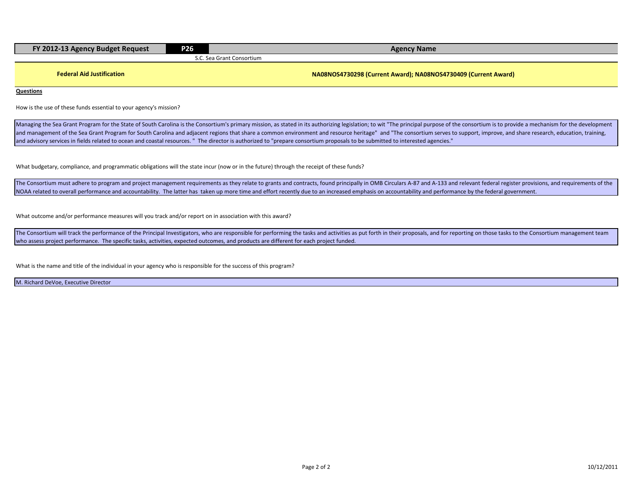| FY 2012-13 Agency Budget Request | <b>P26</b> | <b>Agency Name</b>                                             |  |  |  |  |
|----------------------------------|------------|----------------------------------------------------------------|--|--|--|--|
|                                  |            | S.C. Sea Grant Consortium                                      |  |  |  |  |
|                                  |            |                                                                |  |  |  |  |
| <b>Federal Aid Justification</b> |            | NA08NOS4730298 (Current Award); NA08NOS4730409 (Current Award) |  |  |  |  |

**Questions**

How is the use of these funds essential to your agency's mission?

Managing the Sea Grant Program for the State of South Carolina is the Consortium's primary mission, as stated in its authorizing legislation; to wit "The principal purpose of the consortium is to provide a mechanism for th and management of the Sea Grant Program for South Carolina and adjacent regions that share a common environment and resource heritage" and "The consortium serves to support, improve, and share research, education, training and advisory services in fields related to ocean and coastal resources. " The director is authorized to "prepare consortium proposals to be submitted to interested agencies."

What budgetary, compliance, and programmatic obligations will the state incur (now or in the future) through the receipt of these funds?

The Consortium must adhere to program and project management requirements as they relate to grants and contracts, found principally in OMB Circulars A-87 and A-133 and relevant federal register provisions, and requirements NOAA related to overall performance and accountability. The latter has taken up more time and effort recently due to an increased emphasis on accountability and performance by the federal government.

What outcome and/or performance measures will you track and/or report on in association with this award?

The Consortium will track the performance of the Principal Investigators, who are responsible for performing the tasks and activities as put forth in their proposals, and for reporting on those tasks to the Consortium mana who assess project performance. The specific tasks, activities, expected outcomes, and products are different for each project funded.

What is the name and title of the individual in your agency who is responsible for the success of this program?

M. Richard DeVoe, Executive Director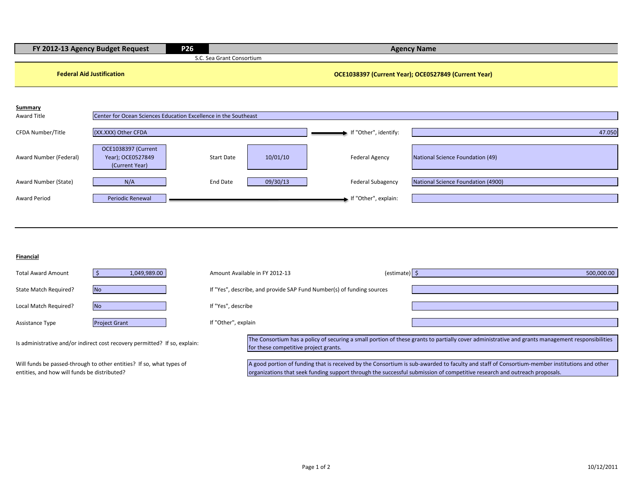| FY 2012-13 Agency Budget Request<br>P <sub>26</sub> |                                                                            |                                                                       | <b>Agency Name</b>                                   |                                                                                                                                                                                                                                                                           |  |  |  |
|-----------------------------------------------------|----------------------------------------------------------------------------|-----------------------------------------------------------------------|------------------------------------------------------|---------------------------------------------------------------------------------------------------------------------------------------------------------------------------------------------------------------------------------------------------------------------------|--|--|--|
|                                                     |                                                                            | S.C. Sea Grant Consortium                                             |                                                      |                                                                                                                                                                                                                                                                           |  |  |  |
| <b>Federal Aid Justification</b>                    |                                                                            |                                                                       | OCE1038397 (Current Year); OCE0527849 (Current Year) |                                                                                                                                                                                                                                                                           |  |  |  |
| <b>Summary</b><br><b>Award Title</b>                | Center for Ocean Sciences Education Excellence in the Southeast            |                                                                       |                                                      |                                                                                                                                                                                                                                                                           |  |  |  |
| CFDA Number/Title                                   | (XX.XXX) Other CFDA                                                        |                                                                       | If "Other", identify:                                | 47.050                                                                                                                                                                                                                                                                    |  |  |  |
| Award Number (Federal)                              | OCE1038397 (Current<br>Year); OCE0527849<br>(Current Year)                 | 10/01/10<br><b>Start Date</b>                                         | <b>Federal Agency</b>                                | National Science Foundation (49)                                                                                                                                                                                                                                          |  |  |  |
| Award Number (State)                                | N/A                                                                        | 09/30/13<br><b>End Date</b>                                           | <b>Federal Subagency</b>                             | National Science Foundation (4900)                                                                                                                                                                                                                                        |  |  |  |
| <b>Award Period</b>                                 | Periodic Renewal                                                           |                                                                       | If "Other", explain:                                 |                                                                                                                                                                                                                                                                           |  |  |  |
|                                                     |                                                                            |                                                                       |                                                      |                                                                                                                                                                                                                                                                           |  |  |  |
| <b>Financial</b>                                    |                                                                            |                                                                       |                                                      |                                                                                                                                                                                                                                                                           |  |  |  |
| <b>Total Award Amount</b>                           | $\frac{1}{2}$<br>1,049,989.00                                              | Amount Available in FY 2012-13                                        | (estimate) $\frac{1}{5}$                             | 500,000.00                                                                                                                                                                                                                                                                |  |  |  |
| State Match Required?                               | <b>No</b>                                                                  | If "Yes", describe, and provide SAP Fund Number(s) of funding sources |                                                      |                                                                                                                                                                                                                                                                           |  |  |  |
| Local Match Required?                               | <b>No</b>                                                                  | If "Yes", describe                                                    |                                                      |                                                                                                                                                                                                                                                                           |  |  |  |
| Assistance Type                                     | <b>Project Grant</b>                                                       | If "Other", explain                                                   |                                                      |                                                                                                                                                                                                                                                                           |  |  |  |
|                                                     | Is administrative and/or indirect cost recovery permitted? If so, explain: | for these competitive project grants.                                 |                                                      | The Consortium has a policy of securing a small portion of these grants to partially cover administrative and grants management responsibilities                                                                                                                          |  |  |  |
| entities, and how will funds be distributed?        | Will funds be passed-through to other entities? If so, what types of       |                                                                       |                                                      | A good portion of funding that is received by the Consortium is sub-awarded to faculty and staff of Consortium-member institutions and other<br>organizations that seek funding support through the successful submission of competitive research and outreach proposals. |  |  |  |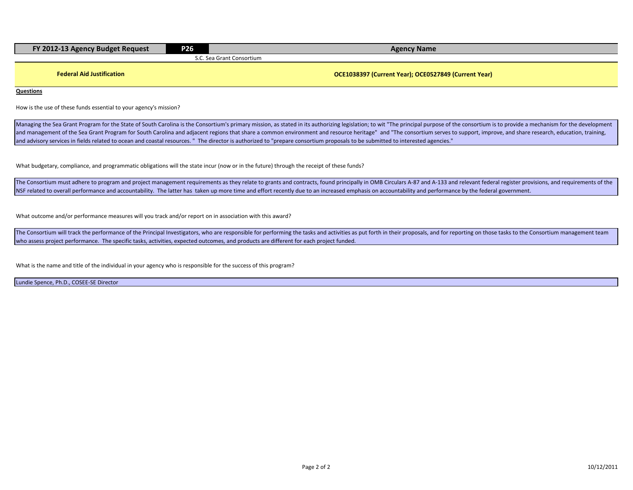| FY 2012-13 Agency Budget Request | <b>P26</b> | <b>Agency Name</b>                                   |  |  |  |  |  |
|----------------------------------|------------|------------------------------------------------------|--|--|--|--|--|
|                                  |            | S.C. Sea Grant Consortium                            |  |  |  |  |  |
| <b>Federal Aid Justification</b> |            | OCE1038397 (Current Year); OCE0527849 (Current Year) |  |  |  |  |  |
| <b>Questions</b>                 |            |                                                      |  |  |  |  |  |

How is the use of these funds essential to your agency's mission?

Managing the Sea Grant Program for the State of South Carolina is the Consortium's primary mission, as stated in its authorizing legislation; to wit "The principal purpose of the consortium is to provide a mechanism for th and management of the Sea Grant Program for South Carolina and adjacent regions that share a common environment and resource heritage" and "The consortium serves to support, improve, and share research, education, training and advisory services in fields related to ocean and coastal resources. " The director is authorized to "prepare consortium proposals to be submitted to interested agencies."

What budgetary, compliance, and programmatic obligations will the state incur (now or in the future) through the receipt of these funds?

The Consortium must adhere to program and project management requirements as they relate to grants and contracts, found principally in OMB Circulars A-87 and A-133 and relevant federal register provisions, and requirements NSF related to overall performance and accountability. The latter has taken up more time and effort recently due to an increased emphasis on accountability and performance by the federal government.

What outcome and/or performance measures will you track and/or report on in association with this award?

The Consortium will track the performance of the Principal Investigators, who are responsible for performing the tasks and activities as put forth in their proposals, and for reporting on those tasks to the Consortium mana who assess project performance. The specific tasks, activities, expected outcomes, and products are different for each project funded.

What is the name and title of the individual in your agency who is responsible for the success of this program?

Lundie Spence, Ph.D., COSEE-SE Director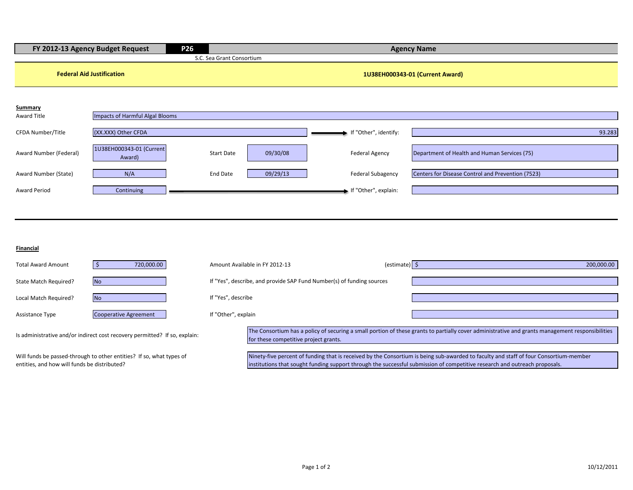|                        | FY 2012-13 Agency Budget Request   | <b>P26</b>                |          |                          | <b>Agency Name</b>                                |
|------------------------|------------------------------------|---------------------------|----------|--------------------------|---------------------------------------------------|
|                        |                                    | S.C. Sea Grant Consortium |          |                          |                                                   |
|                        | <b>Federal Aid Justification</b>   |                           |          |                          | 1U38EH000343-01 (Current Award)                   |
| <b>Summary</b>         |                                    |                           |          |                          |                                                   |
| Award Title            | Impacts of Harmful Algal Blooms    |                           |          |                          |                                                   |
| CFDA Number/Title      | (XX.XXX) Other CFDA                |                           |          | If "Other", identify:    | 93.283                                            |
| Award Number (Federal) | 1U38EH000343-01 (Current<br>Award) | <b>Start Date</b>         | 09/30/08 | <b>Federal Agency</b>    | Department of Health and Human Services (75)      |
| Award Number (State)   | N/A                                | <b>End Date</b>           | 09/29/13 | <b>Federal Subagency</b> | Centers for Disease Control and Prevention (7523) |
| <b>Award Period</b>    | Continuing                         |                           |          | If "Other", explain:     |                                                   |
|                        |                                    |                           |          |                          |                                                   |

#### **Financial**

| <b>Total Award Amount</b> | 720,000.00                                                                                            |                     | Amount Available in FY 2012-13                                        | $\text{(estimate)}$ | 200,000.00                                                                                                                                       |
|---------------------------|-------------------------------------------------------------------------------------------------------|---------------------|-----------------------------------------------------------------------|---------------------|--------------------------------------------------------------------------------------------------------------------------------------------------|
| State Match Required?     | <b>No</b>                                                                                             |                     | If "Yes", describe, and provide SAP Fund Number(s) of funding sources |                     |                                                                                                                                                  |
| Local Match Required?     | N <sub>o</sub>                                                                                        | If "Yes", describe  |                                                                       |                     |                                                                                                                                                  |
| Assistance Type           | Cooperative Agreement                                                                                 | If "Other", explain |                                                                       |                     |                                                                                                                                                  |
|                           | Is administrative and/or indirect cost recovery permitted? If so, explain:                            |                     | for these competitive project grants.                                 |                     | The Consortium has a policy of securing a small portion of these grants to partially cover administrative and grants management responsibilities |
|                           | $\mathbf{A}$ and $\mathbf{f}$ is the contracted by the contraction of the contraction of $\mathbf{f}$ |                     |                                                                       |                     | <b>APROXIMATION CONTINUES INTO A REPORT OF A STORY CONTINUES IN THE CALIFORNIA CONTINUES AND CONTINUES.</b>                                      |

Will funds be passed-through to other entities? If so, what types of entities, and how will funds be distributed?

Ninety-five percent of funding that is received by the Consortium is being sub-awarded to faculty and staff of four Consortium-member institutions that sought funding support through the successful submission of competitive research and outreach proposals.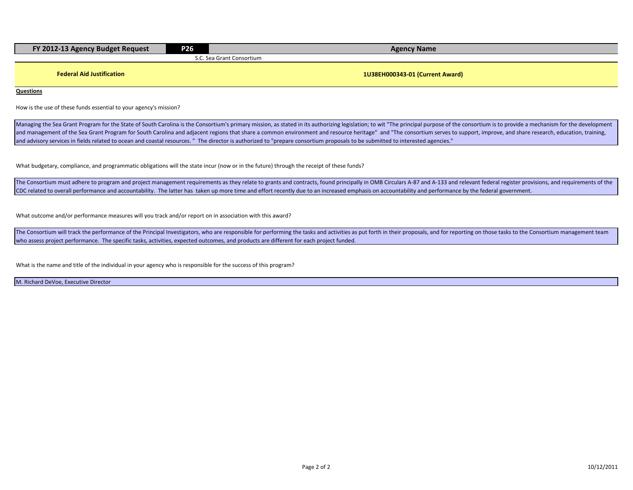| FY 2012-13 Agency Budget Request | <b>P26</b> | <b>Agency Name</b>              |
|----------------------------------|------------|---------------------------------|
|                                  |            | S.C. Sea Grant Consortium       |
|                                  |            |                                 |
| <b>Federal Aid Justification</b> |            | 1U38EH000343-01 (Current Award) |

**Questions**

How is the use of these funds essential to your agency's mission?

Managing the Sea Grant Program for the State of South Carolina is the Consortium's primary mission, as stated in its authorizing legislation; to wit "The principal purpose of the consortium is to provide a mechanism for th and management of the Sea Grant Program for South Carolina and adjacent regions that share a common environment and resource heritage" and "The consortium serves to support, improve, and share research, education, training and advisory services in fields related to ocean and coastal resources. " The director is authorized to "prepare consortium proposals to be submitted to interested agencies."

What budgetary, compliance, and programmatic obligations will the state incur (now or in the future) through the receipt of these funds?

The Consortium must adhere to program and project management requirements as they relate to grants and contracts, found principally in OMB Circulars A-87 and A-133 and relevant federal register provisions, and requirements CDC related to overall performance and accountability. The latter has taken up more time and effort recently due to an increased emphasis on accountability and performance by the federal government.

What outcome and/or performance measures will you track and/or report on in association with this award?

The Consortium will track the performance of the Principal Investigators, who are responsible for performing the tasks and activities as put forth in their proposals, and for reporting on those tasks to the Consortium mana who assess project performance. The specific tasks, activities, expected outcomes, and products are different for each project funded.

What is the name and title of the individual in your agency who is responsible for the success of this program?

M. Richard DeVoe, Executive Director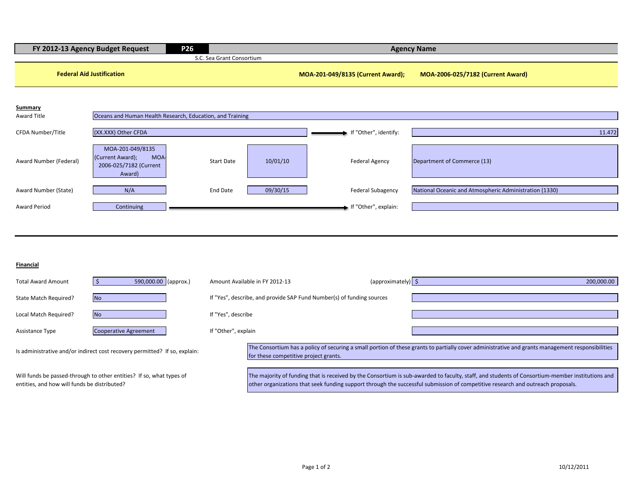|                                              | P <sub>26</sub><br>FY 2012-13 Agency Budget Request                                    |                                |                                                                       | <b>Agency Name</b>                                                                                                                                                                                                                                                                 |
|----------------------------------------------|----------------------------------------------------------------------------------------|--------------------------------|-----------------------------------------------------------------------|------------------------------------------------------------------------------------------------------------------------------------------------------------------------------------------------------------------------------------------------------------------------------------|
|                                              |                                                                                        | S.C. Sea Grant Consortium      |                                                                       |                                                                                                                                                                                                                                                                                    |
|                                              | <b>Federal Aid Justification</b>                                                       |                                | MOA-201-049/8135 (Current Award);                                     | MOA-2006-025/7182 (Current Award)                                                                                                                                                                                                                                                  |
| <b>Summary</b>                               |                                                                                        |                                |                                                                       |                                                                                                                                                                                                                                                                                    |
| <b>Award Title</b>                           | Oceans and Human Health Research, Education, and Training                              |                                |                                                                       |                                                                                                                                                                                                                                                                                    |
| CFDA Number/Title                            | (XX.XXX) Other CFDA                                                                    |                                | If "Other", identify:                                                 | 11.472                                                                                                                                                                                                                                                                             |
| Award Number (Federal)                       | MOA-201-049/8135<br>(Current Award);<br><b>MOA</b><br>2006-025/7182 (Current<br>Award) | <b>Start Date</b><br>10/01/10  | <b>Federal Agency</b>                                                 | Department of Commerce (13)                                                                                                                                                                                                                                                        |
| Award Number (State)                         | N/A                                                                                    | 09/30/15<br>End Date           | <b>Federal Subagency</b>                                              | National Oceanic and Atmospheric Administration (1330)                                                                                                                                                                                                                             |
| <b>Award Period</b>                          | Continuing                                                                             |                                | If "Other", explain:                                                  |                                                                                                                                                                                                                                                                                    |
|                                              |                                                                                        |                                |                                                                       |                                                                                                                                                                                                                                                                                    |
| Financial                                    |                                                                                        |                                |                                                                       |                                                                                                                                                                                                                                                                                    |
| <b>Total Award Amount</b>                    | 590,000.00 (approx.)<br>$\mathsf{S}$                                                   | Amount Available in FY 2012-13 | (approximately) \$                                                    | 200,000.00                                                                                                                                                                                                                                                                         |
| State Match Required?                        | <b>No</b>                                                                              |                                | If "Yes", describe, and provide SAP Fund Number(s) of funding sources |                                                                                                                                                                                                                                                                                    |
| Local Match Required?                        | <b>No</b>                                                                              | If "Yes", describe             |                                                                       |                                                                                                                                                                                                                                                                                    |
| Assistance Type                              | <b>Cooperative Agreement</b>                                                           | If "Other", explain            |                                                                       |                                                                                                                                                                                                                                                                                    |
|                                              | Is administrative and/or indirect cost recovery permitted? If so, explain:             |                                | for these competitive project grants.                                 | The Consortium has a policy of securing a small portion of these grants to partially cover administrative and grants management responsibilities                                                                                                                                   |
| entities, and how will funds be distributed? | Will funds be passed-through to other entities? If so, what types of                   |                                |                                                                       | The majority of funding that is received by the Consortium is sub-awarded to faculty, staff, and students of Consortium-member institutions and<br>other organizations that seek funding support through the successful submission of competitive research and outreach proposals. |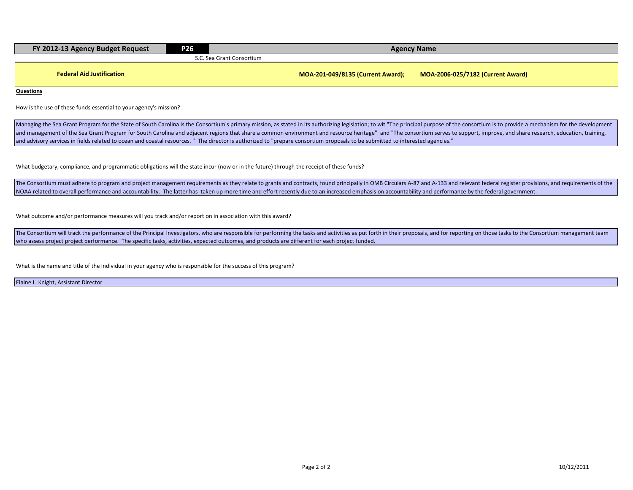| FY 2012-13 Agency Budget Request | <b>P26</b> | <b>Agency Name</b>                                                     |  |  |  |
|----------------------------------|------------|------------------------------------------------------------------------|--|--|--|
|                                  |            | S.C. Sea Grant Consortium                                              |  |  |  |
|                                  |            |                                                                        |  |  |  |
| <b>Federal Aid Justification</b> |            | MOA-2006-025/7182 (Current Award)<br>MOA-201-049/8135 (Current Award); |  |  |  |

**Questions**

How is the use of these funds essential to your agency's mission?

Managing the Sea Grant Program for the State of South Carolina is the Consortium's primary mission, as stated in its authorizing legislation; to wit "The principal purpose of the consortium is to provide a mechanism for th and management of the Sea Grant Program for South Carolina and adjacent regions that share a common environment and resource heritage" and "The consortium serves to support, improve, and share research, education, training and advisory services in fields related to ocean and coastal resources. " The director is authorized to "prepare consortium proposals to be submitted to interested agencies."

What budgetary, compliance, and programmatic obligations will the state incur (now or in the future) through the receipt of these funds?

The Consortium must adhere to program and project management requirements as they relate to grants and contracts, found principally in OMB Circulars A-87 and A-133 and relevant federal register provisions, and requirements NOAA related to overall performance and accountability. The latter has taken up more time and effort recently due to an increased emphasis on accountability and performance by the federal government.

What outcome and/or performance measures will you track and/or report on in association with this award?

The Consortium will track the performance of the Principal Investigators, who are responsible for performing the tasks and activities as put forth in their proposals, and for reporting on those tasks to the Consortium mana who assess project project performance. The specific tasks, activities, expected outcomes, and products are different for each project funded.

What is the name and title of the individual in your agency who is responsible for the success of this program?

Elaine L. Knight, Assistant Director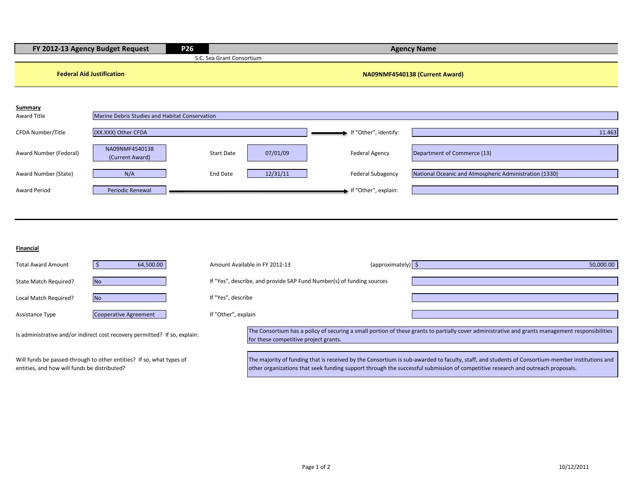|                        | FY 2012-13 Agency Budget Request               | P <sub>26</sub>           |          |                          | <b>Agency Name</b>                                     |
|------------------------|------------------------------------------------|---------------------------|----------|--------------------------|--------------------------------------------------------|
|                        |                                                | S.C. Sea Grant Consortium |          |                          |                                                        |
|                        | <b>Federal Aid Justification</b>               |                           |          |                          | NA09NMF4540138 (Current Award)                         |
| Summary                |                                                |                           |          |                          |                                                        |
| Award Title            | Marine Debris Studies and Habitat Conservation |                           |          |                          |                                                        |
| CFDA Number/Title      | (XX.XXX) Other CFDA                            |                           |          | If "Other", identify:    | 11.463                                                 |
| Award Number (Federal) | NA09NMF4540138<br>(Current Award)              | <b>Start Date</b>         | 07/01/09 | <b>Federal Agency</b>    | Department of Commerce (13)                            |
| Award Number (State)   | N/A                                            | End Date                  | 12/31/11 | <b>Federal Subagency</b> | National Oceanic and Atmospheric Administration (1330) |
| <b>Award Period</b>    | <b>Periodic Renewal</b>                        |                           |          | If "Other", explain:     |                                                        |
|                        |                                                |                           |          |                          |                                                        |

#### **Financial**

| <b>Total Award Amount</b>                                                                                            | 64,500.00                    |                     | Amount Available in FY 2012-13                                                                                                                                                            |  | $\langle$ approximately) $\langle$ | 50,000.00                                                                                                                                                                                                                                                                          |
|----------------------------------------------------------------------------------------------------------------------|------------------------------|---------------------|-------------------------------------------------------------------------------------------------------------------------------------------------------------------------------------------|--|------------------------------------|------------------------------------------------------------------------------------------------------------------------------------------------------------------------------------------------------------------------------------------------------------------------------------|
| State Match Required?                                                                                                | <b>No</b>                    |                     | If "Yes", describe, and provide SAP Fund Number(s) of funding sources                                                                                                                     |  |                                    |                                                                                                                                                                                                                                                                                    |
| Local Match Required?                                                                                                | <b>No</b>                    | If "Yes", describe  |                                                                                                                                                                                           |  |                                    |                                                                                                                                                                                                                                                                                    |
| <b>Assistance Type</b>                                                                                               | <b>Cooperative Agreement</b> | If "Other", explain |                                                                                                                                                                                           |  |                                    |                                                                                                                                                                                                                                                                                    |
| Is administrative and/or indirect cost recovery permitted? If so, explain:                                           |                              |                     | The Consortium has a policy of securing a small portion of these grants to partially cover administrative and grants management responsibilities<br>for these competitive project grants. |  |                                    |                                                                                                                                                                                                                                                                                    |
| Will funds be passed-through to other entities? If so, what types of<br>entities, and how will funds be distributed? |                              |                     |                                                                                                                                                                                           |  |                                    | The majority of funding that is received by the Consortium is sub-awarded to faculty, staff, and students of Consortium-member institutions and<br>other organizations that seek funding support through the successful submission of competitive research and outreach proposals. |